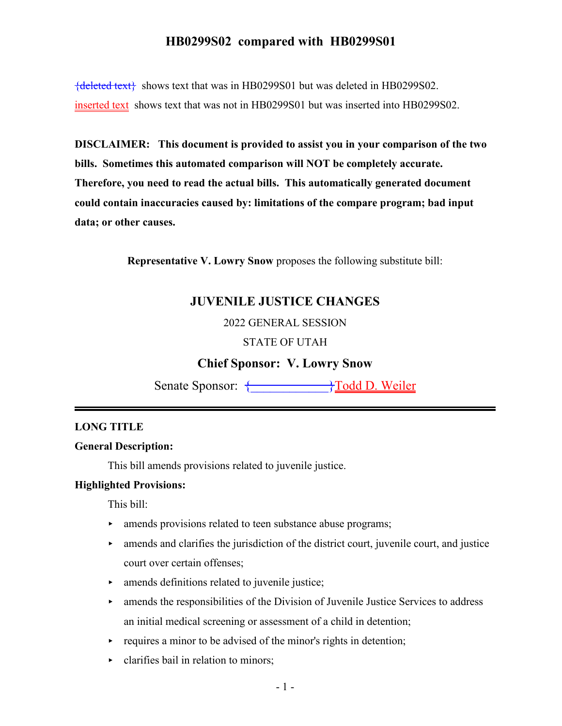{deleted text} shows text that was in HB0299S01 but was deleted in HB0299S02. inserted text shows text that was not in HB0299S01 but was inserted into HB0299S02.

**DISCLAIMER: This document is provided to assist you in your comparison of the two bills. Sometimes this automated comparison will NOT be completely accurate. Therefore, you need to read the actual bills. This automatically generated document could contain inaccuracies caused by: limitations of the compare program; bad input data; or other causes.**

**Representative V. Lowry Snow** proposes the following substitute bill:

## **JUVENILE JUSTICE CHANGES**

2022 GENERAL SESSION

#### STATE OF UTAH

## **Chief Sponsor: V. Lowry Snow**

Senate Sponsor: { \pitch{\bmat{\bmat{\bmat{\bmat{\bmat{\bmat{\bmat{\bmat{\bmat{\bmat{\bmat{\bmat{\bmat{\bmat{\bmat{\bmat{\bmat{\bmat{\bmat{\bmat{\bmat{\bmat{\bmat{\bmat{\bmat{\bmat{\bmat{\bmat{\bmat{\bmat{\bmat{\bmat{\bmat

#### **LONG TITLE**

#### **General Description:**

This bill amends provisions related to juvenile justice.

#### **Highlighted Provisions:**

This bill:

- **Example 3** amends provisions related to teen substance abuse programs;
- $\blacktriangleright$  amends and clarifies the jurisdiction of the district court, juvenile court, and justice court over certain offenses;
- $\blacktriangleright$  amends definitions related to juvenile justice;
- $\triangleright$  amends the responsibilities of the Division of Juvenile Justice Services to address an initial medical screening or assessment of a child in detention;
- $\rightarrow$  requires a minor to be advised of the minor's rights in detention;
- < clarifies bail in relation to minors;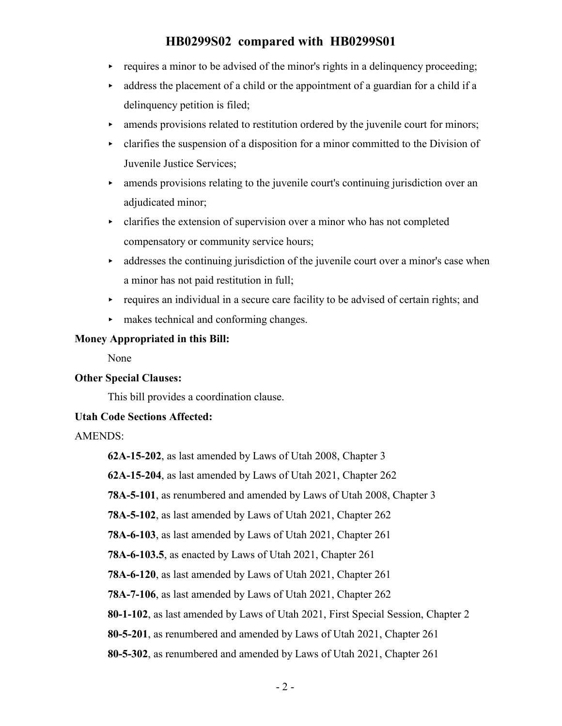- $\rightarrow$  requires a minor to be advised of the minor's rights in a delinguency proceeding;
- < address the placement of a child or the appointment of a guardian for a child if a delinquency petition is filed;
- $\blacktriangleright$  amends provisions related to restitution ordered by the juvenile court for minors;
- $\rightarrow$  clarifies the suspension of a disposition for a minor committed to the Division of Juvenile Justice Services;
- < amends provisions relating to the juvenile court's continuing jurisdiction over an adjudicated minor;
- < clarifies the extension of supervision over a minor who has not completed compensatory or community service hours;
- addresses the continuing jurisdiction of the juvenile court over a minor's case when a minor has not paid restitution in full;
- $\rightarrow$  requires an individual in a secure care facility to be advised of certain rights; and
- $\blacktriangleright$  makes technical and conforming changes.

#### **Money Appropriated in this Bill:**

None

#### **Other Special Clauses:**

This bill provides a coordination clause.

#### **Utah Code Sections Affected:**

AMENDS:

**62A-15-202**, as last amended by Laws of Utah 2008, Chapter 3

**62A-15-204**, as last amended by Laws of Utah 2021, Chapter 262

**78A-5-101**, as renumbered and amended by Laws of Utah 2008, Chapter 3

**78A-5-102**, as last amended by Laws of Utah 2021, Chapter 262

**78A-6-103**, as last amended by Laws of Utah 2021, Chapter 261

**78A-6-103.5**, as enacted by Laws of Utah 2021, Chapter 261

**78A-6-120**, as last amended by Laws of Utah 2021, Chapter 261

**78A-7-106**, as last amended by Laws of Utah 2021, Chapter 262

**80-1-102**, as last amended by Laws of Utah 2021, First Special Session, Chapter 2

**80-5-201**, as renumbered and amended by Laws of Utah 2021, Chapter 261

**80-5-302**, as renumbered and amended by Laws of Utah 2021, Chapter 261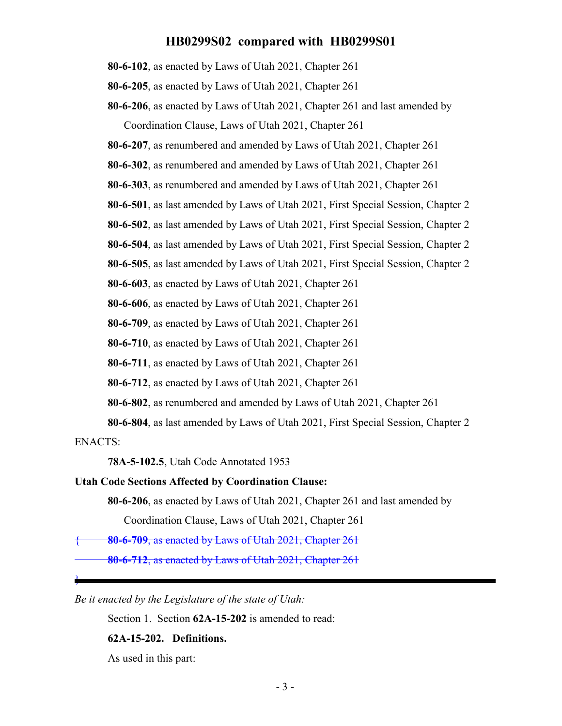**80-6-102**, as enacted by Laws of Utah 2021, Chapter 261

**80-6-205**, as enacted by Laws of Utah 2021, Chapter 261

**80-6-206**, as enacted by Laws of Utah 2021, Chapter 261 and last amended by Coordination Clause, Laws of Utah 2021, Chapter 261

**80-6-207**, as renumbered and amended by Laws of Utah 2021, Chapter 261

**80-6-302**, as renumbered and amended by Laws of Utah 2021, Chapter 261

**80-6-303**, as renumbered and amended by Laws of Utah 2021, Chapter 261

**80-6-501**, as last amended by Laws of Utah 2021, First Special Session, Chapter 2

**80-6-502**, as last amended by Laws of Utah 2021, First Special Session, Chapter 2

**80-6-504**, as last amended by Laws of Utah 2021, First Special Session, Chapter 2

**80-6-505**, as last amended by Laws of Utah 2021, First Special Session, Chapter 2

**80-6-603**, as enacted by Laws of Utah 2021, Chapter 261

**80-6-606**, as enacted by Laws of Utah 2021, Chapter 261

**80-6-709**, as enacted by Laws of Utah 2021, Chapter 261

**80-6-710**, as enacted by Laws of Utah 2021, Chapter 261

**80-6-711**, as enacted by Laws of Utah 2021, Chapter 261

**80-6-712**, as enacted by Laws of Utah 2021, Chapter 261

**80-6-802**, as renumbered and amended by Laws of Utah 2021, Chapter 261

**80-6-804**, as last amended by Laws of Utah 2021, First Special Session, Chapter 2

ENACTS:

}

**78A-5-102.5**, Utah Code Annotated 1953

#### **Utah Code Sections Affected by Coordination Clause:**

**80-6-206**, as enacted by Laws of Utah 2021, Chapter 261 and last amended by Coordination Clause, Laws of Utah 2021, Chapter 261

{ **80-6-709**, as enacted by Laws of Utah 2021, Chapter 261

**80-6-712**, as enacted by Laws of Utah 2021, Chapter 261

*Be it enacted by the Legislature of the state of Utah:*

Section 1. Section **62A-15-202** is amended to read:

#### **62A-15-202. Definitions.**

As used in this part: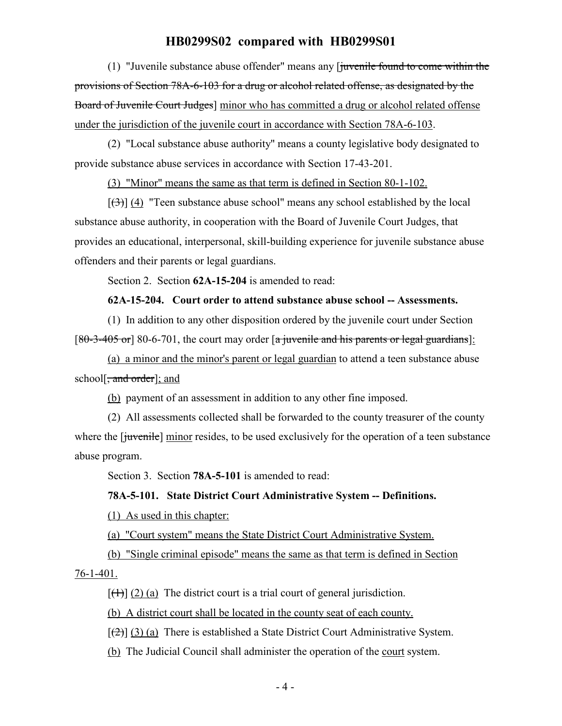(1) "Juvenile substance abuse offender" means any  $\int$  inventle found to come within the provisions of Section 78A-6-103 for a drug or alcohol related offense, as designated by the Board of Juvenile Court Judges] minor who has committed a drug or alcohol related offense under the jurisdiction of the juvenile court in accordance with Section 78A-6-103.

(2) "Local substance abuse authority" means a county legislative body designated to provide substance abuse services in accordance with Section 17-43-201.

(3) "Minor" means the same as that term is defined in Section 80-1-102.

 $[\frac{1}{3}]$  (4) "Teen substance abuse school" means any school established by the local substance abuse authority, in cooperation with the Board of Juvenile Court Judges, that provides an educational, interpersonal, skill-building experience for juvenile substance abuse offenders and their parents or legal guardians.

Section 2. Section **62A-15-204** is amended to read:

#### **62A-15-204. Court order to attend substance abuse school -- Assessments.**

(1) In addition to any other disposition ordered by the juvenile court under Section  $[80-3-405 \text{ or}]$  80-6-701, the court may order  $\lceil a \rceil$  juvenile and his parents or legal guardians]:

(a) a minor and the minor's parent or legal guardian to attend a teen substance abuse school[<del>, and order</del>]; and

(b) payment of an assessment in addition to any other fine imposed.

(2) All assessments collected shall be forwarded to the county treasurer of the county where the [juvenile] minor resides, to be used exclusively for the operation of a teen substance abuse program.

Section 3. Section **78A-5-101** is amended to read:

#### **78A-5-101. State District Court Administrative System -- Definitions.**

(1) As used in this chapter:

(a) "Court system" means the State District Court Administrative System.

(b) "Single criminal episode" means the same as that term is defined in Section 76-1-401.

 $[\frac{1}{2}]$  (2) (a) The district court is a trial court of general jurisdiction.

(b) A district court shall be located in the county seat of each county.

 $[\frac{1}{2}]$  (3) (a) There is established a State District Court Administrative System.

(b) The Judicial Council shall administer the operation of the court system.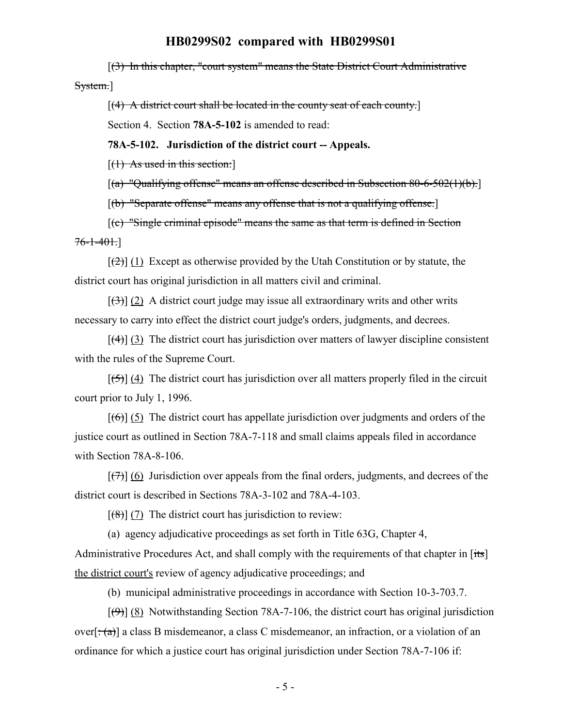[(3) In this chapter, "court system" means the State District Court Administrative System.]

 $[(4)$  A district court shall be located in the county seat of each county.

Section 4. Section **78A-5-102** is amended to read:

**78A-5-102. Jurisdiction of the district court -- Appeals.**

 $[$ (1) As used in this section:

[(a) "Qualifying offense" means an offense described in Subsection 80-6-502(1)(b).]

[(b) "Separate offense" means any offense that is not a qualifying offense.]

[(c) "Single criminal episode" means the same as that term is defined in Section  $76 - 1 - 401.$ 

 $[\frac{1}{2}]$  (1) Except as otherwise provided by the Utah Constitution or by statute, the district court has original jurisdiction in all matters civil and criminal.

 $[(3)] (2)$  A district court judge may issue all extraordinary writs and other writs necessary to carry into effect the district court judge's orders, judgments, and decrees.

 $[$ (4)] (3) The district court has jurisdiction over matters of lawyer discipline consistent with the rules of the Supreme Court.

 $[\frac{1}{5}]$  (4) The district court has jurisdiction over all matters properly filed in the circuit court prior to July 1, 1996.

 $[(6)]$  (5) The district court has appellate jurisdiction over judgments and orders of the justice court as outlined in Section 78A-7-118 and small claims appeals filed in accordance with Section 78A-8-106.

 $[\overline{(+)}]$  (6) Jurisdiction over appeals from the final orders, judgments, and decrees of the district court is described in Sections 78A-3-102 and 78A-4-103.

 $[$ (8)] (7) The district court has jurisdiction to review:

(a) agency adjudicative proceedings as set forth in Title 63G, Chapter 4,

Administrative Procedures Act, and shall comply with the requirements of that chapter in [its] the district court's review of agency adjudicative proceedings; and

(b) municipal administrative proceedings in accordance with Section 10-3-703.7.

 $[$ (9)] (8) Notwithstanding Section 78A-7-106, the district court has original jurisdiction over[ $\div$ (a)] a class B misdemeanor, a class C misdemeanor, an infraction, or a violation of an ordinance for which a justice court has original jurisdiction under Section 78A-7-106 if: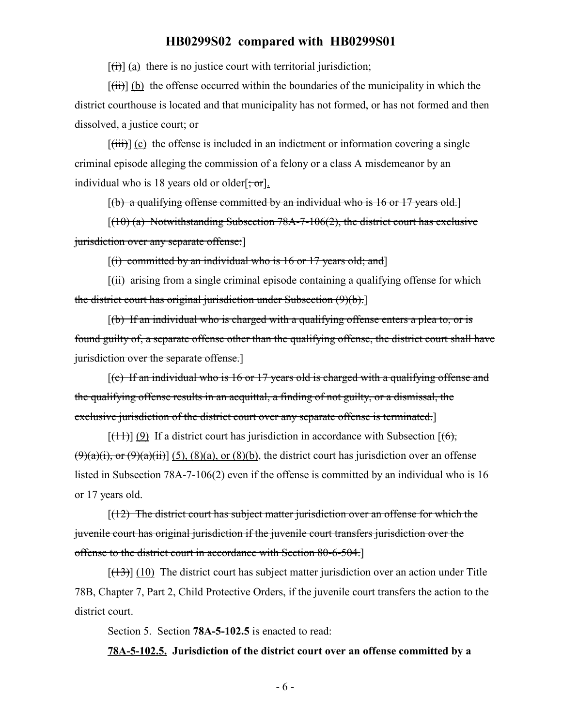$[f<sup>th</sup>]$  (a) there is no justice court with territorial jurisdiction;

 $[(iii)]$  (b) the offense occurred within the boundaries of the municipality in which the district courthouse is located and that municipality has not formed, or has not formed and then dissolved, a justice court; or

 $[\overline{\text{(iii)}}]$  (c) the offense is included in an indictment or information covering a single criminal episode alleging the commission of a felony or a class A misdemeanor by an individual who is 18 years old or older[ $\div$ or].

 $[(b)$  a qualifying offense committed by an individual who is 16 or 17 years old.

 $[(10)$  (a) Notwithstanding Subsection 78A-7-106(2), the district court has exclusive jurisdiction over any separate offense:

 $[(i)$  committed by an individual who is 16 or 17 years old; and

[(ii) arising from a single criminal episode containing a qualifying offense for which the district court has original jurisdiction under Subsection (9)(b).]

 $[(b)$  If an individual who is charged with a qualifying offense enters a plea to, or is found guilty of, a separate offense other than the qualifying offense, the district court shall have jurisdiction over the separate offense.]

[(c) If an individual who is 16 or 17 years old is charged with a qualifying offense and the qualifying offense results in an acquittal, a finding of not guilty, or a dismissal, the exclusive jurisdiction of the district court over any separate offense is terminated.]

 $[$ (41)] (9) If a district court has jurisdiction in accordance with Subsection [(6),  $(9)(a)(i)$ , or  $(9)(a)(ii)$ ] (5), (8)(a), or (8)(b), the district court has jurisdiction over an offense listed in Subsection 78A-7-106(2) even if the offense is committed by an individual who is 16 or 17 years old.

 $[(12)$  The district court has subject matter jurisdiction over an offense for which the juvenile court has original jurisdiction if the juvenile court transfers jurisdiction over the offense to the district court in accordance with Section 80-6-504.]

 $[ (13) ]$  (10) The district court has subject matter jurisdiction over an action under Title 78B, Chapter 7, Part 2, Child Protective Orders, if the juvenile court transfers the action to the district court.

Section 5. Section **78A-5-102.5** is enacted to read:

**78A-5-102.5. Jurisdiction of the district court over an offense committed by a**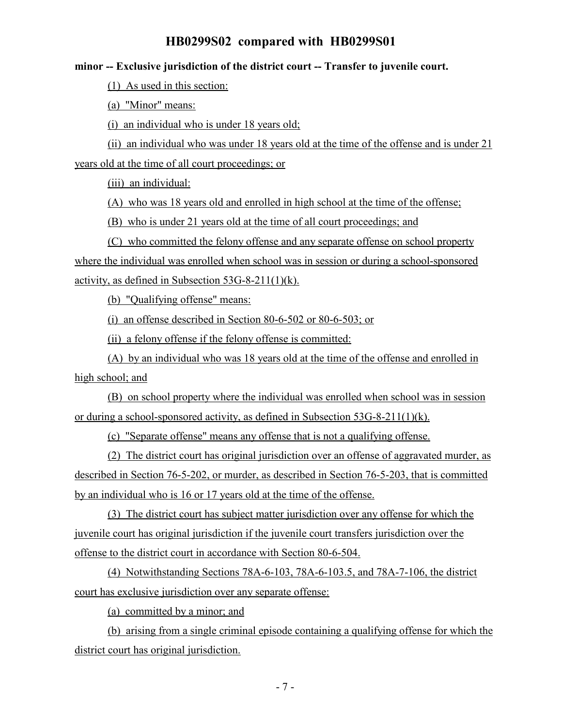#### **minor -- Exclusive jurisdiction of the district court -- Transfer to juvenile court.**

(1) As used in this section:

(a) "Minor" means:

(i) an individual who is under 18 years old;

(ii) an individual who was under 18 years old at the time of the offense and is under 21 years old at the time of all court proceedings; or

(iii) an individual:

(A) who was 18 years old and enrolled in high school at the time of the offense;

(B) who is under 21 years old at the time of all court proceedings; and

(C) who committed the felony offense and any separate offense on school property where the individual was enrolled when school was in session or during a school-sponsored activity, as defined in Subsection 53G-8-211(1)(k).

(b) "Qualifying offense" means:

(i) an offense described in Section 80-6-502 or 80-6-503; or

(ii) a felony offense if the felony offense is committed:

(A) by an individual who was 18 years old at the time of the offense and enrolled in high school; and

(B) on school property where the individual was enrolled when school was in session or during a school-sponsored activity, as defined in Subsection 53G-8-211(1)(k).

(c) "Separate offense" means any offense that is not a qualifying offense.

(2) The district court has original jurisdiction over an offense of aggravated murder, as described in Section 76-5-202, or murder, as described in Section 76-5-203, that is committed by an individual who is 16 or 17 years old at the time of the offense.

(3) The district court has subject matter jurisdiction over any offense for which the juvenile court has original jurisdiction if the juvenile court transfers jurisdiction over the offense to the district court in accordance with Section 80-6-504.

(4) Notwithstanding Sections 78A-6-103, 78A-6-103.5, and 78A-7-106, the district court has exclusive jurisdiction over any separate offense:

(a) committed by a minor; and

(b) arising from a single criminal episode containing a qualifying offense for which the district court has original jurisdiction.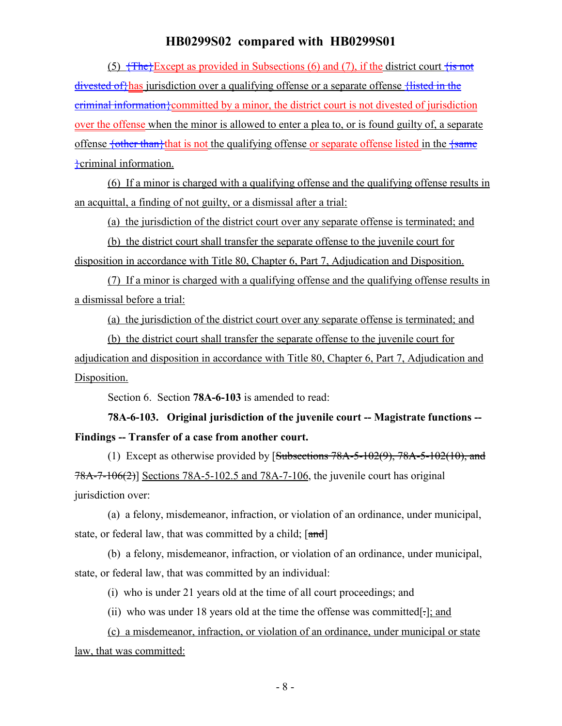(5)  $\overline{f}$   $\overline{f}$  +  $\overline{f}$  +  $\overline{f}$  = Except as provided in Subsections (6) and (7), if the district court  $\overline{f}$  is not divested of thas jurisdiction over a qualifying offense or a separate offense thisted in the criminal information}committed by a minor, the district court is not divested of jurisdiction over the offense when the minor is allowed to enter a plea to, or is found guilty of, a separate offense fother than<sup>t</sup> that is not the qualifying offense or separate offense listed in the frame }criminal information.

(6) If a minor is charged with a qualifying offense and the qualifying offense results in an acquittal, a finding of not guilty, or a dismissal after a trial:

(a) the jurisdiction of the district court over any separate offense is terminated; and

(b) the district court shall transfer the separate offense to the juvenile court for disposition in accordance with Title 80, Chapter 6, Part 7, Adjudication and Disposition.

(7) If a minor is charged with a qualifying offense and the qualifying offense results in a dismissal before a trial:

(a) the jurisdiction of the district court over any separate offense is terminated; and

(b) the district court shall transfer the separate offense to the juvenile court for adjudication and disposition in accordance with Title 80, Chapter 6, Part 7, Adjudication and Disposition.

Section 6. Section **78A-6-103** is amended to read:

**78A-6-103. Original jurisdiction of the juvenile court -- Magistrate functions -- Findings -- Transfer of a case from another court.**

(1) Except as otherwise provided by  $[Subsections 78A-5-102(9), 78A-5-102(10), and]$ 78A-7-106(2)] Sections 78A-5-102.5 and 78A-7-106, the juvenile court has original jurisdiction over:

(a) a felony, misdemeanor, infraction, or violation of an ordinance, under municipal, state, or federal law, that was committed by a child;  $[\text{and}]$ 

(b) a felony, misdemeanor, infraction, or violation of an ordinance, under municipal, state, or federal law, that was committed by an individual:

(i) who is under 21 years old at the time of all court proceedings; and

(ii) who was under 18 years old at the time the offense was committed[ $\cdot$ ]; and

(c) a misdemeanor, infraction, or violation of an ordinance, under municipal or state law, that was committed: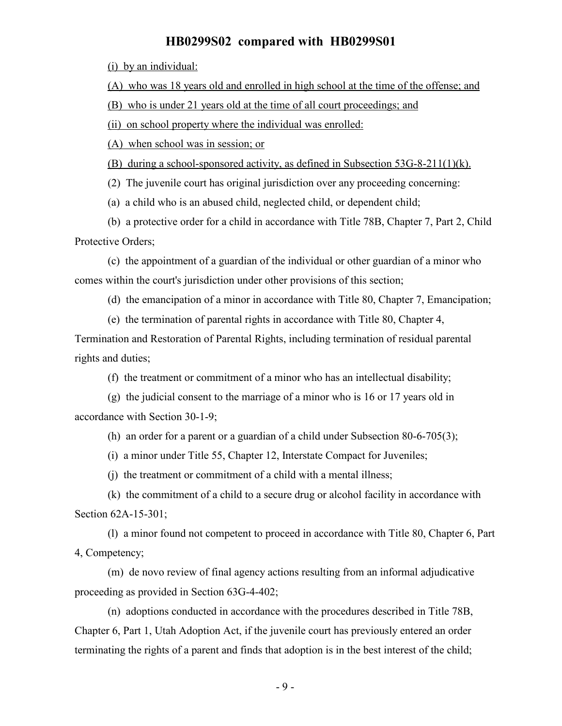(i) by an individual:

(A) who was 18 years old and enrolled in high school at the time of the offense; and

(B) who is under 21 years old at the time of all court proceedings; and

(ii) on school property where the individual was enrolled:

(A) when school was in session; or

(B) during a school-sponsored activity, as defined in Subsection 53G-8-211(1)(k).

(2) The juvenile court has original jurisdiction over any proceeding concerning:

(a) a child who is an abused child, neglected child, or dependent child;

(b) a protective order for a child in accordance with Title 78B, Chapter 7, Part 2, Child Protective Orders;

(c) the appointment of a guardian of the individual or other guardian of a minor who comes within the court's jurisdiction under other provisions of this section;

(d) the emancipation of a minor in accordance with Title 80, Chapter 7, Emancipation;

(e) the termination of parental rights in accordance with Title 80, Chapter 4,

Termination and Restoration of Parental Rights, including termination of residual parental rights and duties;

(f) the treatment or commitment of a minor who has an intellectual disability;

(g) the judicial consent to the marriage of a minor who is 16 or 17 years old in accordance with Section 30-1-9;

(h) an order for a parent or a guardian of a child under Subsection 80-6-705(3);

(i) a minor under Title 55, Chapter 12, Interstate Compact for Juveniles;

(j) the treatment or commitment of a child with a mental illness;

(k) the commitment of a child to a secure drug or alcohol facility in accordance with Section 62A-15-301;

(l) a minor found not competent to proceed in accordance with Title 80, Chapter 6, Part 4, Competency;

(m) de novo review of final agency actions resulting from an informal adjudicative proceeding as provided in Section 63G-4-402;

(n) adoptions conducted in accordance with the procedures described in Title 78B, Chapter 6, Part 1, Utah Adoption Act, if the juvenile court has previously entered an order terminating the rights of a parent and finds that adoption is in the best interest of the child;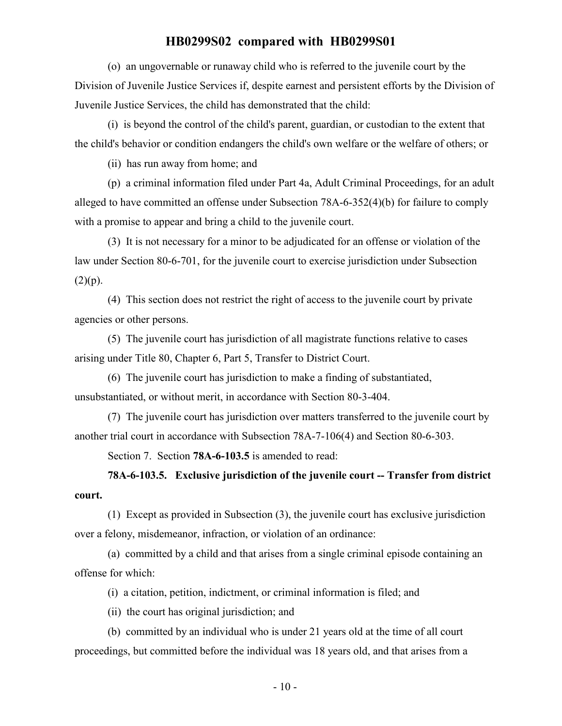(o) an ungovernable or runaway child who is referred to the juvenile court by the Division of Juvenile Justice Services if, despite earnest and persistent efforts by the Division of Juvenile Justice Services, the child has demonstrated that the child:

(i) is beyond the control of the child's parent, guardian, or custodian to the extent that the child's behavior or condition endangers the child's own welfare or the welfare of others; or

(ii) has run away from home; and

(p) a criminal information filed under Part 4a, Adult Criminal Proceedings, for an adult alleged to have committed an offense under Subsection 78A-6-352(4)(b) for failure to comply with a promise to appear and bring a child to the juvenile court.

(3) It is not necessary for a minor to be adjudicated for an offense or violation of the law under Section 80-6-701, for the juvenile court to exercise jurisdiction under Subsection  $(2)(p).$ 

(4) This section does not restrict the right of access to the juvenile court by private agencies or other persons.

(5) The juvenile court has jurisdiction of all magistrate functions relative to cases arising under Title 80, Chapter 6, Part 5, Transfer to District Court.

(6) The juvenile court has jurisdiction to make a finding of substantiated, unsubstantiated, or without merit, in accordance with Section 80-3-404.

(7) The juvenile court has jurisdiction over matters transferred to the juvenile court by another trial court in accordance with Subsection 78A-7-106(4) and Section 80-6-303.

Section 7. Section **78A-6-103.5** is amended to read:

**78A-6-103.5. Exclusive jurisdiction of the juvenile court -- Transfer from district court.**

(1) Except as provided in Subsection (3), the juvenile court has exclusive jurisdiction over a felony, misdemeanor, infraction, or violation of an ordinance:

(a) committed by a child and that arises from a single criminal episode containing an offense for which:

(i) a citation, petition, indictment, or criminal information is filed; and

(ii) the court has original jurisdiction; and

(b) committed by an individual who is under 21 years old at the time of all court proceedings, but committed before the individual was 18 years old, and that arises from a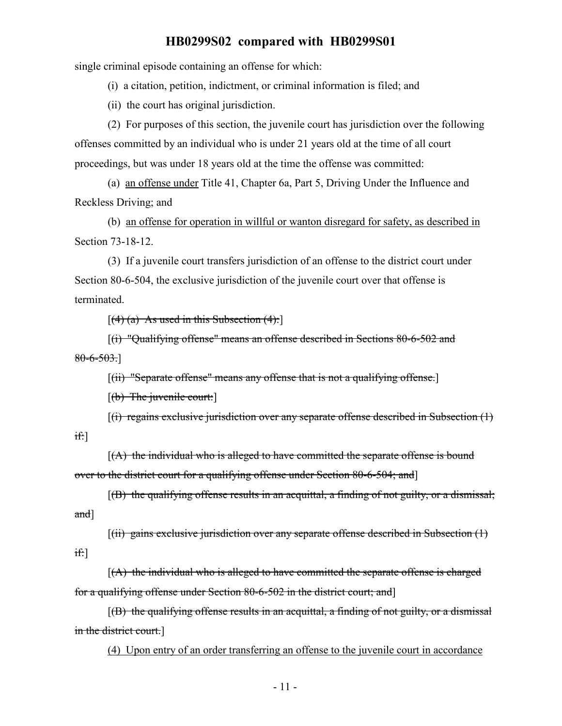single criminal episode containing an offense for which:

(i) a citation, petition, indictment, or criminal information is filed; and

(ii) the court has original jurisdiction.

(2) For purposes of this section, the juvenile court has jurisdiction over the following offenses committed by an individual who is under 21 years old at the time of all court proceedings, but was under 18 years old at the time the offense was committed:

(a) an offense under Title 41, Chapter 6a, Part 5, Driving Under the Influence and Reckless Driving; and

(b) an offense for operation in willful or wanton disregard for safety, as described in Section 73-18-12.

(3) If a juvenile court transfers jurisdiction of an offense to the district court under Section 80-6-504, the exclusive jurisdiction of the juvenile court over that offense is terminated.

 $[(4)$  (a) As used in this Subsection  $(4)$ :

[(i) "Qualifying offense" means an offense described in Sections 80-6-502 and  $80 - 6 - 503.$ 

[(ii) "Separate offense" means any offense that is not a qualifying offense.]

 $[(b)$  The juvenile court:

 $[(i)$  regains exclusive jurisdiction over any separate offense described in Subsection  $(1)$ if:]

 $[(A)$  the individual who is alleged to have committed the separate offense is bound over to the district court for a qualifying offense under Section 80-6-504; and]

 $[(B)$  the qualifying offense results in an acquittal, a finding of not guilty, or a dismissal; and]

 $[(ii)$  gains exclusive jurisdiction over any separate offense described in Subsection  $(1)$ if:]

 $[(A)$  the individual who is alleged to have committed the separate offense is charged for a qualifying offense under Section 80-6-502 in the district court; and]

 $[(B)$  the qualifying offense results in an acquittal, a finding of not guilty, or a dismissal in the district court.]

(4) Upon entry of an order transferring an offense to the juvenile court in accordance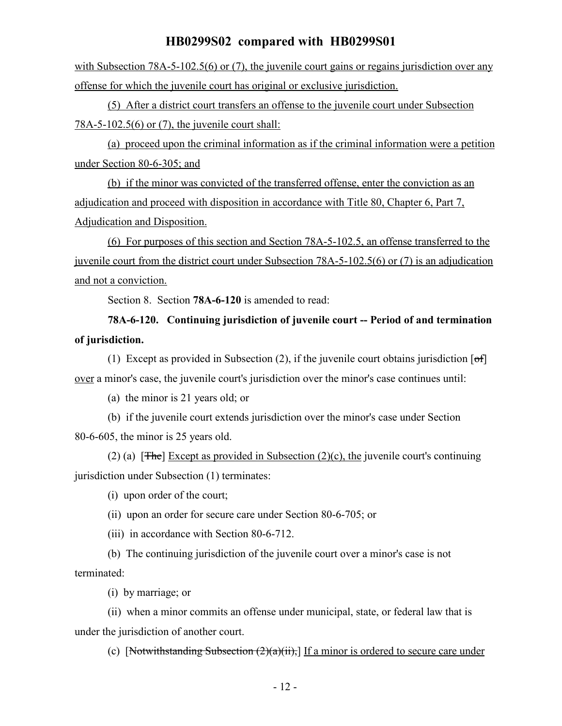with Subsection 78A-5-102.5(6) or (7), the juvenile court gains or regains jurisdiction over any offense for which the juvenile court has original or exclusive jurisdiction.

(5) After a district court transfers an offense to the juvenile court under Subsection 78A-5-102.5(6) or (7), the juvenile court shall:

(a) proceed upon the criminal information as if the criminal information were a petition under Section 80-6-305; and

(b) if the minor was convicted of the transferred offense, enter the conviction as an adjudication and proceed with disposition in accordance with Title 80, Chapter 6, Part 7, Adjudication and Disposition.

(6) For purposes of this section and Section 78A-5-102.5, an offense transferred to the juvenile court from the district court under Subsection 78A-5-102.5(6) or (7) is an adjudication and not a conviction.

Section 8. Section **78A-6-120** is amended to read:

# **78A-6-120. Continuing jurisdiction of juvenile court -- Period of and termination of jurisdiction.**

(1) Except as provided in Subsection (2), if the juvenile court obtains jurisdiction  $\lceil \sigma f \rceil$ over a minor's case, the juvenile court's jurisdiction over the minor's case continues until:

(a) the minor is 21 years old; or

(b) if the juvenile court extends jurisdiction over the minor's case under Section 80-6-605, the minor is 25 years old.

(2) (a) [ $\overline{\text{The}}$ ] Except as provided in Subsection (2)(c), the juvenile court's continuing jurisdiction under Subsection (1) terminates:

(i) upon order of the court;

(ii) upon an order for secure care under Section 80-6-705; or

(iii) in accordance with Section 80-6-712.

(b) The continuing jurisdiction of the juvenile court over a minor's case is not terminated:

(i) by marriage; or

(ii) when a minor commits an offense under municipal, state, or federal law that is under the jurisdiction of another court.

(c) [Notwithstanding Subsection  $(2)(a)(ii)$ ,] If a minor is ordered to secure care under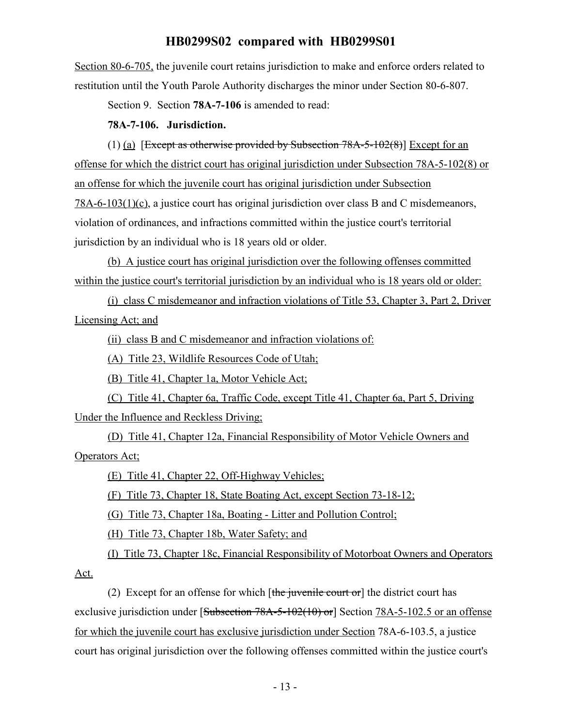Section 80-6-705, the juvenile court retains jurisdiction to make and enforce orders related to restitution until the Youth Parole Authority discharges the minor under Section 80-6-807.

Section 9. Section **78A-7-106** is amended to read:

#### **78A-7-106. Jurisdiction.**

(1) (a) [Except as otherwise provided by Subsection  $78A-5-102(8)$ ] Except for an offense for which the district court has original jurisdiction under Subsection 78A-5-102(8) or an offense for which the juvenile court has original jurisdiction under Subsection 78A-6-103(1)(c), a justice court has original jurisdiction over class B and C misdemeanors, violation of ordinances, and infractions committed within the justice court's territorial jurisdiction by an individual who is 18 years old or older.

(b) A justice court has original jurisdiction over the following offenses committed within the justice court's territorial jurisdiction by an individual who is 18 years old or older:

(i) class C misdemeanor and infraction violations of Title 53, Chapter 3, Part 2, Driver Licensing Act; and

(ii) class B and C misdemeanor and infraction violations of:

(A) Title 23, Wildlife Resources Code of Utah;

(B) Title 41, Chapter 1a, Motor Vehicle Act;

(C) Title 41, Chapter 6a, Traffic Code, except Title 41, Chapter 6a, Part 5, Driving Under the Influence and Reckless Driving;

(D) Title 41, Chapter 12a, Financial Responsibility of Motor Vehicle Owners and Operators Act;

(E) Title 41, Chapter 22, Off-Highway Vehicles;

(F) Title 73, Chapter 18, State Boating Act, except Section 73-18-12;

(G) Title 73, Chapter 18a, Boating - Litter and Pollution Control;

(H) Title 73, Chapter 18b, Water Safety; and

(I) Title 73, Chapter 18c, Financial Responsibility of Motorboat Owners and Operators

Act.

(2) Except for an offense for which  $[the$  juvenile court or the district court has exclusive jurisdiction under [Subsection 78A-5-102(10) or] Section 78A-5-102.5 or an offense for which the juvenile court has exclusive jurisdiction under Section 78A-6-103.5, a justice court has original jurisdiction over the following offenses committed within the justice court's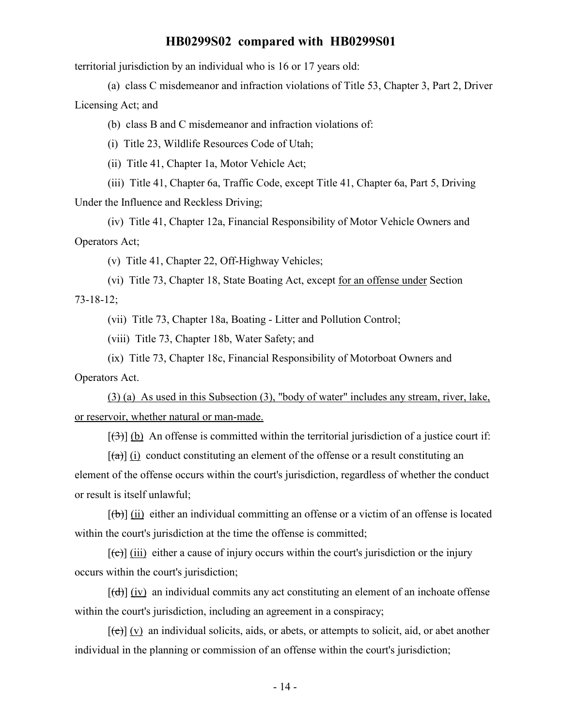territorial jurisdiction by an individual who is 16 or 17 years old:

(a) class C misdemeanor and infraction violations of Title 53, Chapter 3, Part 2, Driver Licensing Act; and

(b) class B and C misdemeanor and infraction violations of:

(i) Title 23, Wildlife Resources Code of Utah;

(ii) Title 41, Chapter 1a, Motor Vehicle Act;

(iii) Title 41, Chapter 6a, Traffic Code, except Title 41, Chapter 6a, Part 5, Driving Under the Influence and Reckless Driving;

(iv) Title 41, Chapter 12a, Financial Responsibility of Motor Vehicle Owners and Operators Act;

(v) Title 41, Chapter 22, Off-Highway Vehicles;

(vi) Title 73, Chapter 18, State Boating Act, except for an offense under Section 73-18-12;

(vii) Title 73, Chapter 18a, Boating - Litter and Pollution Control;

(viii) Title 73, Chapter 18b, Water Safety; and

(ix) Title 73, Chapter 18c, Financial Responsibility of Motorboat Owners and Operators Act.

(3) (a) As used in this Subsection (3), "body of water" includes any stream, river, lake, or reservoir, whether natural or man-made.

 $[\frac{1}{3}]$  (b) An offense is committed within the territorial jurisdiction of a justice court if:

 $[\hat{a}]$  (i) conduct constituting an element of the offense or a result constituting an element of the offense occurs within the court's jurisdiction, regardless of whether the conduct or result is itself unlawful;

 $[(\theta)]$  (ii) either an individual committing an offense or a victim of an offense is located within the court's jurisdiction at the time the offense is committed;

 $[\text{e}]$  (iii) either a cause of injury occurs within the court's jurisdiction or the injury occurs within the court's jurisdiction;

 $[\overrightarrow{(d)}]$  (iv) an individual commits any act constituting an element of an inchoate offense within the court's jurisdiction, including an agreement in a conspiracy;

 $[\text{e}(\text{e})]$  (v) an individual solicits, aids, or abets, or attempts to solicit, aid, or abet another individual in the planning or commission of an offense within the court's jurisdiction;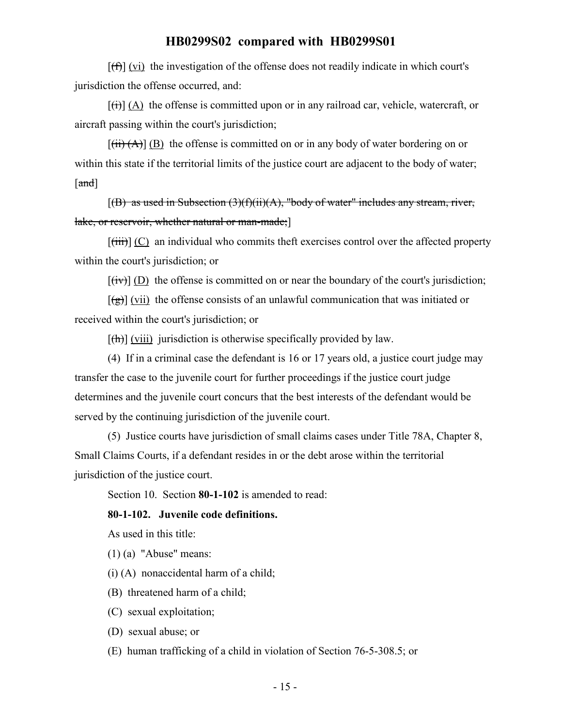$[f(f)]$  (vi) the investigation of the offense does not readily indicate in which court's jurisdiction the offense occurred, and:

 $[\overrightarrow{(t)}]$  (A) the offense is committed upon or in any railroad car, vehicle, watercraft, or aircraft passing within the court's jurisdiction;

 $[(iii) (A)] (B)$  the offense is committed on or in any body of water bordering on or within this state if the territorial limits of the justice court are adjacent to the body of water; [and]

 $[(B)$  as used in Subsection  $(3)(f)(ii)(A)$ , "body of water" includes any stream, river, lake, or reservoir, whether natural or man-made;]

 $[\overrightarrow{tiii}] (C)$  an individual who commits theft exercises control over the affected property within the court's jurisdiction; or

 $[\overline{f(x)}]$  (D) the offense is committed on or near the boundary of the court's jurisdiction;

 $\lceil$ (g)] (vii) the offense consists of an unlawful communication that was initiated or received within the court's jurisdiction; or

 $[\frac{h}{\hbar}](viii)$  jurisdiction is otherwise specifically provided by law.

(4) If in a criminal case the defendant is 16 or 17 years old, a justice court judge may transfer the case to the juvenile court for further proceedings if the justice court judge determines and the juvenile court concurs that the best interests of the defendant would be served by the continuing jurisdiction of the juvenile court.

(5) Justice courts have jurisdiction of small claims cases under Title 78A, Chapter 8, Small Claims Courts, if a defendant resides in or the debt arose within the territorial jurisdiction of the justice court.

Section 10. Section **80-1-102** is amended to read:

#### **80-1-102. Juvenile code definitions.**

As used in this title:

(1) (a) "Abuse" means:

(i) (A) nonaccidental harm of a child;

(B) threatened harm of a child;

(C) sexual exploitation;

(D) sexual abuse; or

(E) human trafficking of a child in violation of Section 76-5-308.5; or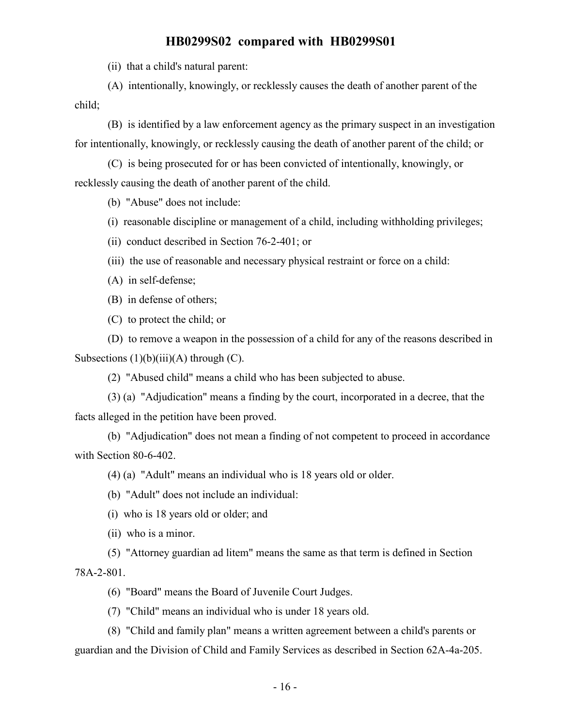(ii) that a child's natural parent:

(A) intentionally, knowingly, or recklessly causes the death of another parent of the child;

(B) is identified by a law enforcement agency as the primary suspect in an investigation for intentionally, knowingly, or recklessly causing the death of another parent of the child; or

(C) is being prosecuted for or has been convicted of intentionally, knowingly, or recklessly causing the death of another parent of the child.

(b) "Abuse" does not include:

- (i) reasonable discipline or management of a child, including withholding privileges;
- (ii) conduct described in Section 76-2-401; or
- (iii) the use of reasonable and necessary physical restraint or force on a child:
- (A) in self-defense;

(B) in defense of others;

(C) to protect the child; or

(D) to remove a weapon in the possession of a child for any of the reasons described in Subsections  $(1)(b)(iii)(A)$  through  $(C)$ .

(2) "Abused child" means a child who has been subjected to abuse.

(3) (a) "Adjudication" means a finding by the court, incorporated in a decree, that the facts alleged in the petition have been proved.

(b) "Adjudication" does not mean a finding of not competent to proceed in accordance with Section 80-6-402.

(4) (a) "Adult" means an individual who is 18 years old or older.

(b) "Adult" does not include an individual:

(i) who is 18 years old or older; and

(ii) who is a minor.

(5) "Attorney guardian ad litem" means the same as that term is defined in Section

78A-2-801.

(6) "Board" means the Board of Juvenile Court Judges.

(7) "Child" means an individual who is under 18 years old.

(8) "Child and family plan" means a written agreement between a child's parents or guardian and the Division of Child and Family Services as described in Section 62A-4a-205.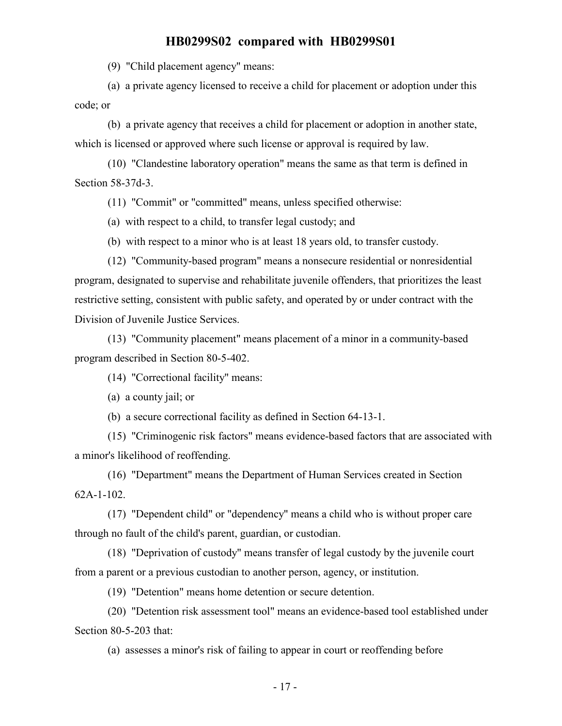(9) "Child placement agency" means:

(a) a private agency licensed to receive a child for placement or adoption under this code; or

(b) a private agency that receives a child for placement or adoption in another state, which is licensed or approved where such license or approval is required by law.

(10) "Clandestine laboratory operation" means the same as that term is defined in Section 58-37d-3.

(11) "Commit" or "committed" means, unless specified otherwise:

(a) with respect to a child, to transfer legal custody; and

(b) with respect to a minor who is at least 18 years old, to transfer custody.

(12) "Community-based program" means a nonsecure residential or nonresidential program, designated to supervise and rehabilitate juvenile offenders, that prioritizes the least restrictive setting, consistent with public safety, and operated by or under contract with the Division of Juvenile Justice Services.

(13) "Community placement" means placement of a minor in a community-based program described in Section 80-5-402.

(14) "Correctional facility" means:

(a) a county jail; or

(b) a secure correctional facility as defined in Section 64-13-1.

(15) "Criminogenic risk factors" means evidence-based factors that are associated with a minor's likelihood of reoffending.

(16) "Department" means the Department of Human Services created in Section 62A-1-102.

(17) "Dependent child" or "dependency" means a child who is without proper care through no fault of the child's parent, guardian, or custodian.

(18) "Deprivation of custody" means transfer of legal custody by the juvenile court from a parent or a previous custodian to another person, agency, or institution.

(19) "Detention" means home detention or secure detention.

(20) "Detention risk assessment tool" means an evidence-based tool established under Section 80-5-203 that:

(a) assesses a minor's risk of failing to appear in court or reoffending before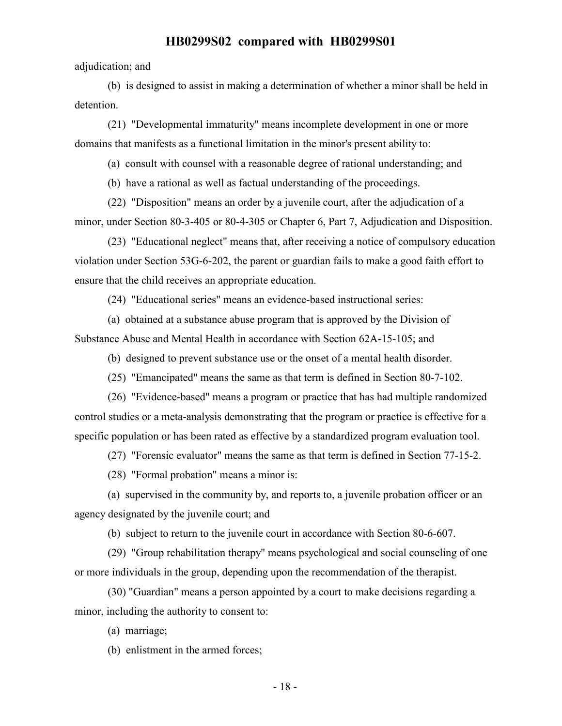adjudication; and

(b) is designed to assist in making a determination of whether a minor shall be held in detention.

(21) "Developmental immaturity" means incomplete development in one or more domains that manifests as a functional limitation in the minor's present ability to:

(a) consult with counsel with a reasonable degree of rational understanding; and

(b) have a rational as well as factual understanding of the proceedings.

(22) "Disposition" means an order by a juvenile court, after the adjudication of a minor, under Section 80-3-405 or 80-4-305 or Chapter 6, Part 7, Adjudication and Disposition.

(23) "Educational neglect" means that, after receiving a notice of compulsory education violation under Section 53G-6-202, the parent or guardian fails to make a good faith effort to ensure that the child receives an appropriate education.

(24) "Educational series" means an evidence-based instructional series:

(a) obtained at a substance abuse program that is approved by the Division of Substance Abuse and Mental Health in accordance with Section 62A-15-105; and

(b) designed to prevent substance use or the onset of a mental health disorder.

(25) "Emancipated" means the same as that term is defined in Section 80-7-102.

(26) "Evidence-based" means a program or practice that has had multiple randomized control studies or a meta-analysis demonstrating that the program or practice is effective for a specific population or has been rated as effective by a standardized program evaluation tool.

(27) "Forensic evaluator" means the same as that term is defined in Section 77-15-2.

(28) "Formal probation" means a minor is:

(a) supervised in the community by, and reports to, a juvenile probation officer or an agency designated by the juvenile court; and

(b) subject to return to the juvenile court in accordance with Section 80-6-607.

(29) "Group rehabilitation therapy" means psychological and social counseling of one or more individuals in the group, depending upon the recommendation of the therapist.

(30) "Guardian" means a person appointed by a court to make decisions regarding a minor, including the authority to consent to:

(a) marriage;

(b) enlistment in the armed forces;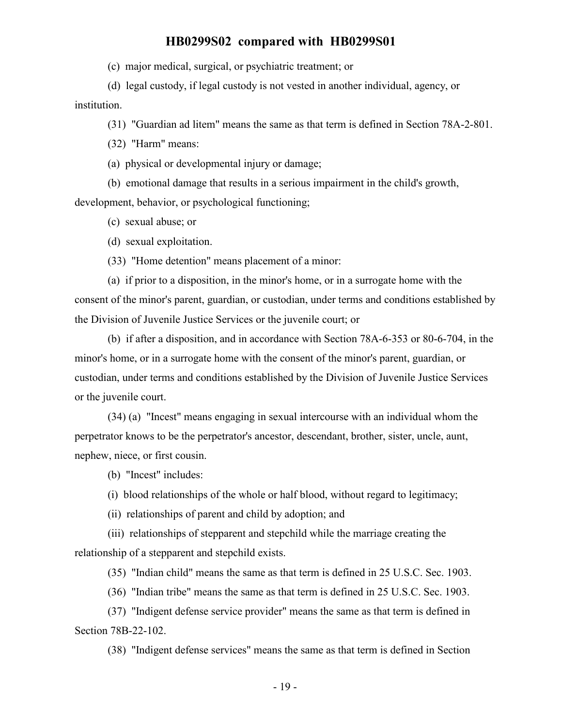(c) major medical, surgical, or psychiatric treatment; or

(d) legal custody, if legal custody is not vested in another individual, agency, or institution.

(31) "Guardian ad litem" means the same as that term is defined in Section 78A-2-801.

(32) "Harm" means:

(a) physical or developmental injury or damage;

(b) emotional damage that results in a serious impairment in the child's growth,

development, behavior, or psychological functioning;

(c) sexual abuse; or

(d) sexual exploitation.

(33) "Home detention" means placement of a minor:

(a) if prior to a disposition, in the minor's home, or in a surrogate home with the consent of the minor's parent, guardian, or custodian, under terms and conditions established by the Division of Juvenile Justice Services or the juvenile court; or

(b) if after a disposition, and in accordance with Section 78A-6-353 or 80-6-704, in the minor's home, or in a surrogate home with the consent of the minor's parent, guardian, or custodian, under terms and conditions established by the Division of Juvenile Justice Services or the juvenile court.

(34) (a) "Incest" means engaging in sexual intercourse with an individual whom the perpetrator knows to be the perpetrator's ancestor, descendant, brother, sister, uncle, aunt, nephew, niece, or first cousin.

(b) "Incest" includes:

(i) blood relationships of the whole or half blood, without regard to legitimacy;

(ii) relationships of parent and child by adoption; and

(iii) relationships of stepparent and stepchild while the marriage creating the relationship of a stepparent and stepchild exists.

(35) "Indian child" means the same as that term is defined in 25 U.S.C. Sec. 1903.

(36) "Indian tribe" means the same as that term is defined in 25 U.S.C. Sec. 1903.

(37) "Indigent defense service provider" means the same as that term is defined in Section 78B-22-102.

(38) "Indigent defense services" means the same as that term is defined in Section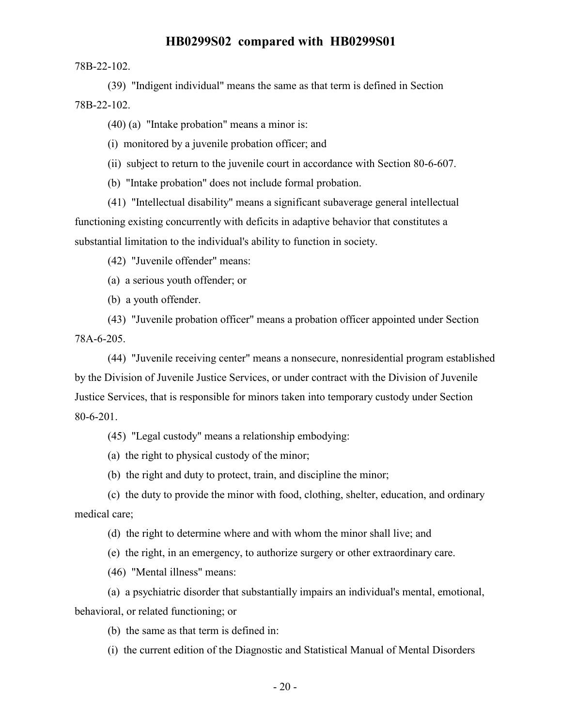78B-22-102.

(39) "Indigent individual" means the same as that term is defined in Section 78B-22-102.

(40) (a) "Intake probation" means a minor is:

(i) monitored by a juvenile probation officer; and

(ii) subject to return to the juvenile court in accordance with Section 80-6-607.

(b) "Intake probation" does not include formal probation.

(41) "Intellectual disability" means a significant subaverage general intellectual functioning existing concurrently with deficits in adaptive behavior that constitutes a substantial limitation to the individual's ability to function in society.

(42) "Juvenile offender" means:

(a) a serious youth offender; or

(b) a youth offender.

(43) "Juvenile probation officer" means a probation officer appointed under Section 78A-6-205.

(44) "Juvenile receiving center" means a nonsecure, nonresidential program established by the Division of Juvenile Justice Services, or under contract with the Division of Juvenile Justice Services, that is responsible for minors taken into temporary custody under Section 80-6-201.

(45) "Legal custody" means a relationship embodying:

(a) the right to physical custody of the minor;

(b) the right and duty to protect, train, and discipline the minor;

(c) the duty to provide the minor with food, clothing, shelter, education, and ordinary medical care;

(d) the right to determine where and with whom the minor shall live; and

(e) the right, in an emergency, to authorize surgery or other extraordinary care.

(46) "Mental illness" means:

(a) a psychiatric disorder that substantially impairs an individual's mental, emotional, behavioral, or related functioning; or

(b) the same as that term is defined in:

(i) the current edition of the Diagnostic and Statistical Manual of Mental Disorders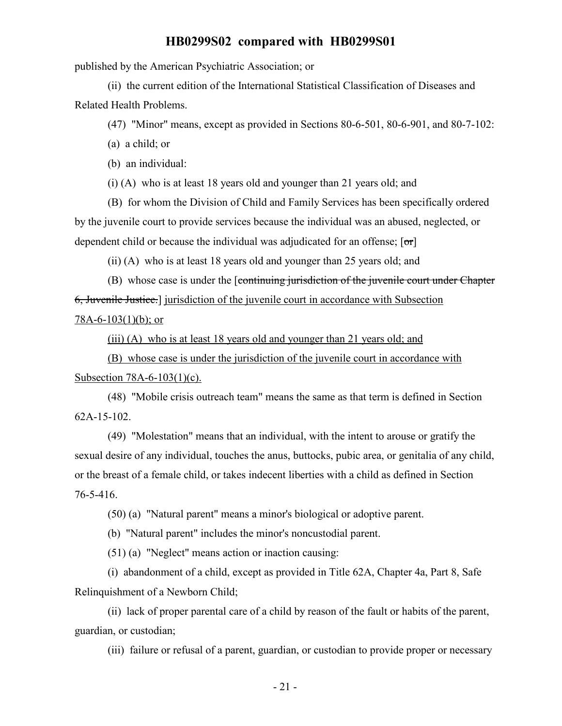published by the American Psychiatric Association; or

(ii) the current edition of the International Statistical Classification of Diseases and Related Health Problems.

(47) "Minor" means, except as provided in Sections 80-6-501, 80-6-901, and 80-7-102:

(a) a child; or

(b) an individual:

(i) (A) who is at least 18 years old and younger than 21 years old; and

(B) for whom the Division of Child and Family Services has been specifically ordered by the juvenile court to provide services because the individual was an abused, neglected, or dependent child or because the individual was adjudicated for an offense;  $[\sigma r]$ 

(ii) (A) who is at least 18 years old and younger than 25 years old; and

(B) whose case is under the [continuing jurisdiction of the juvenile court under Chapter 6, Juvenile Justice.] jurisdiction of the juvenile court in accordance with Subsection 78A-6-103 $(1)(b)$ ; or

(iii) (A) who is at least 18 years old and younger than 21 years old; and

(B) whose case is under the jurisdiction of the juvenile court in accordance with Subsection 78A-6-103(1)(c).

(48) "Mobile crisis outreach team" means the same as that term is defined in Section 62A-15-102.

(49) "Molestation" means that an individual, with the intent to arouse or gratify the sexual desire of any individual, touches the anus, buttocks, pubic area, or genitalia of any child, or the breast of a female child, or takes indecent liberties with a child as defined in Section 76-5-416.

(50) (a) "Natural parent" means a minor's biological or adoptive parent.

(b) "Natural parent" includes the minor's noncustodial parent.

(51) (a) "Neglect" means action or inaction causing:

(i) abandonment of a child, except as provided in Title 62A, Chapter 4a, Part 8, Safe Relinquishment of a Newborn Child;

(ii) lack of proper parental care of a child by reason of the fault or habits of the parent, guardian, or custodian;

(iii) failure or refusal of a parent, guardian, or custodian to provide proper or necessary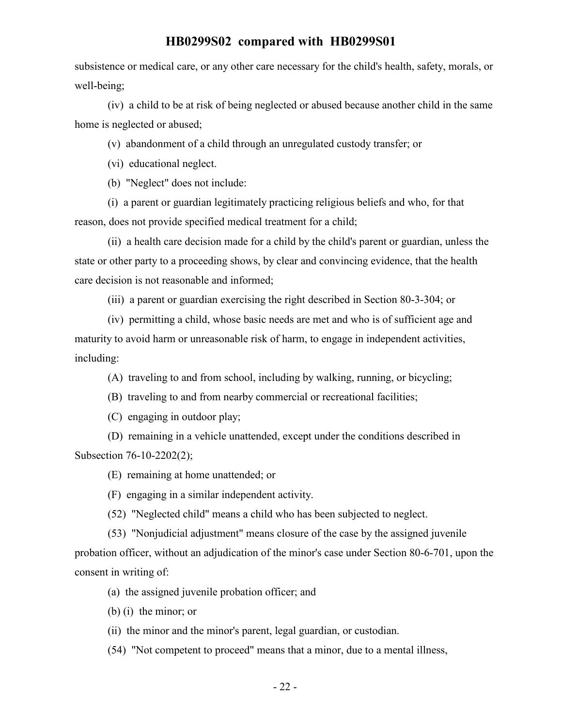subsistence or medical care, or any other care necessary for the child's health, safety, morals, or well-being;

(iv) a child to be at risk of being neglected or abused because another child in the same home is neglected or abused;

(v) abandonment of a child through an unregulated custody transfer; or

(vi) educational neglect.

(b) "Neglect" does not include:

(i) a parent or guardian legitimately practicing religious beliefs and who, for that reason, does not provide specified medical treatment for a child;

(ii) a health care decision made for a child by the child's parent or guardian, unless the state or other party to a proceeding shows, by clear and convincing evidence, that the health care decision is not reasonable and informed;

(iii) a parent or guardian exercising the right described in Section 80-3-304; or

(iv) permitting a child, whose basic needs are met and who is of sufficient age and maturity to avoid harm or unreasonable risk of harm, to engage in independent activities, including:

(A) traveling to and from school, including by walking, running, or bicycling;

(B) traveling to and from nearby commercial or recreational facilities;

(C) engaging in outdoor play;

(D) remaining in a vehicle unattended, except under the conditions described in Subsection 76-10-2202(2);

(E) remaining at home unattended; or

(F) engaging in a similar independent activity.

(52) "Neglected child" means a child who has been subjected to neglect.

(53) "Nonjudicial adjustment" means closure of the case by the assigned juvenile probation officer, without an adjudication of the minor's case under Section 80-6-701, upon the consent in writing of:

(a) the assigned juvenile probation officer; and

(b) (i) the minor; or

(ii) the minor and the minor's parent, legal guardian, or custodian.

(54) "Not competent to proceed" means that a minor, due to a mental illness,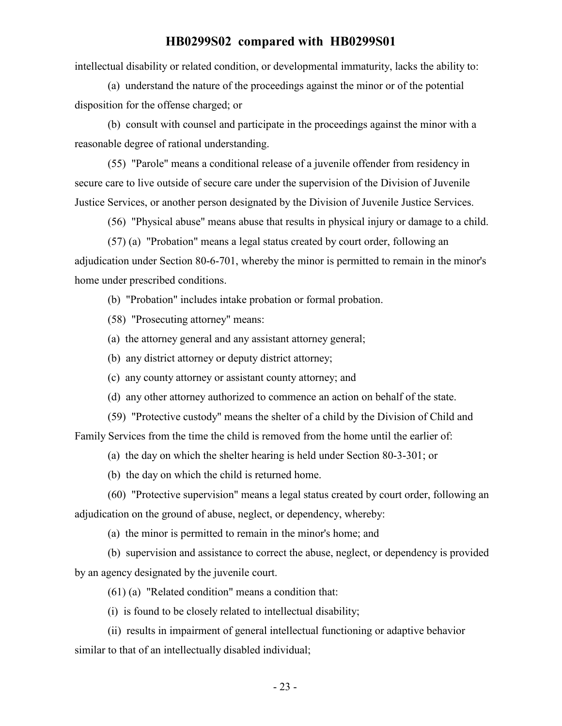intellectual disability or related condition, or developmental immaturity, lacks the ability to:

(a) understand the nature of the proceedings against the minor or of the potential disposition for the offense charged; or

(b) consult with counsel and participate in the proceedings against the minor with a reasonable degree of rational understanding.

(55) "Parole" means a conditional release of a juvenile offender from residency in secure care to live outside of secure care under the supervision of the Division of Juvenile Justice Services, or another person designated by the Division of Juvenile Justice Services.

(56) "Physical abuse" means abuse that results in physical injury or damage to a child.

(57) (a) "Probation" means a legal status created by court order, following an adjudication under Section 80-6-701, whereby the minor is permitted to remain in the minor's home under prescribed conditions.

(b) "Probation" includes intake probation or formal probation.

(58) "Prosecuting attorney" means:

(a) the attorney general and any assistant attorney general;

(b) any district attorney or deputy district attorney;

(c) any county attorney or assistant county attorney; and

(d) any other attorney authorized to commence an action on behalf of the state.

(59) "Protective custody" means the shelter of a child by the Division of Child and

Family Services from the time the child is removed from the home until the earlier of:

(a) the day on which the shelter hearing is held under Section 80-3-301; or

(b) the day on which the child is returned home.

(60) "Protective supervision" means a legal status created by court order, following an adjudication on the ground of abuse, neglect, or dependency, whereby:

(a) the minor is permitted to remain in the minor's home; and

(b) supervision and assistance to correct the abuse, neglect, or dependency is provided by an agency designated by the juvenile court.

(61) (a) "Related condition" means a condition that:

(i) is found to be closely related to intellectual disability;

(ii) results in impairment of general intellectual functioning or adaptive behavior similar to that of an intellectually disabled individual;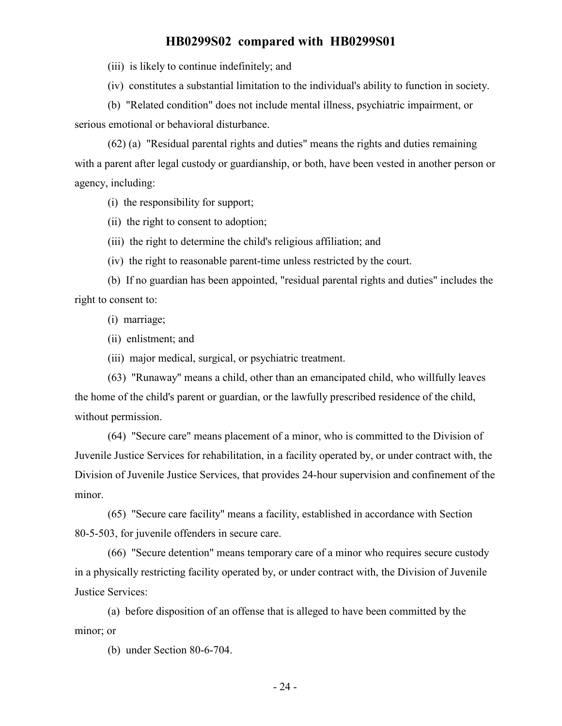(iii) is likely to continue indefinitely; and

(iv) constitutes a substantial limitation to the individual's ability to function in society.

(b) "Related condition" does not include mental illness, psychiatric impairment, or serious emotional or behavioral disturbance.

(62) (a) "Residual parental rights and duties" means the rights and duties remaining with a parent after legal custody or guardianship, or both, have been vested in another person or agency, including:

(i) the responsibility for support;

(ii) the right to consent to adoption;

(iii) the right to determine the child's religious affiliation; and

(iv) the right to reasonable parent-time unless restricted by the court.

(b) If no guardian has been appointed, "residual parental rights and duties" includes the right to consent to:

(i) marriage;

(ii) enlistment; and

(iii) major medical, surgical, or psychiatric treatment.

(63) "Runaway" means a child, other than an emancipated child, who willfully leaves the home of the child's parent or guardian, or the lawfully prescribed residence of the child, without permission.

(64) "Secure care" means placement of a minor, who is committed to the Division of Juvenile Justice Services for rehabilitation, in a facility operated by, or under contract with, the Division of Juvenile Justice Services, that provides 24-hour supervision and confinement of the minor.

(65) "Secure care facility" means a facility, established in accordance with Section 80-5-503, for juvenile offenders in secure care.

(66) "Secure detention" means temporary care of a minor who requires secure custody in a physically restricting facility operated by, or under contract with, the Division of Juvenile Justice Services:

(a) before disposition of an offense that is alleged to have been committed by the minor; or

(b) under Section 80-6-704.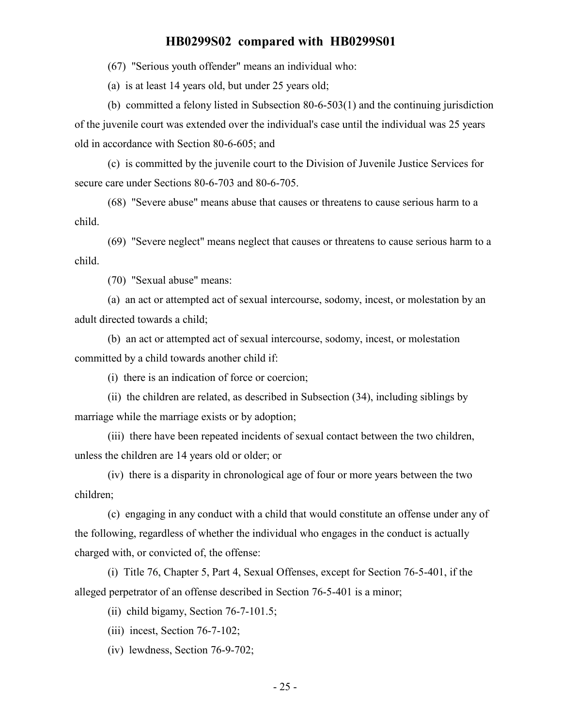(67) "Serious youth offender" means an individual who:

(a) is at least 14 years old, but under 25 years old;

(b) committed a felony listed in Subsection 80-6-503(1) and the continuing jurisdiction of the juvenile court was extended over the individual's case until the individual was 25 years old in accordance with Section 80-6-605; and

(c) is committed by the juvenile court to the Division of Juvenile Justice Services for secure care under Sections 80-6-703 and 80-6-705.

(68) "Severe abuse" means abuse that causes or threatens to cause serious harm to a child.

(69) "Severe neglect" means neglect that causes or threatens to cause serious harm to a child.

(70) "Sexual abuse" means:

(a) an act or attempted act of sexual intercourse, sodomy, incest, or molestation by an adult directed towards a child;

(b) an act or attempted act of sexual intercourse, sodomy, incest, or molestation committed by a child towards another child if:

(i) there is an indication of force or coercion;

(ii) the children are related, as described in Subsection (34), including siblings by marriage while the marriage exists or by adoption;

(iii) there have been repeated incidents of sexual contact between the two children, unless the children are 14 years old or older; or

(iv) there is a disparity in chronological age of four or more years between the two children;

(c) engaging in any conduct with a child that would constitute an offense under any of the following, regardless of whether the individual who engages in the conduct is actually charged with, or convicted of, the offense:

(i) Title 76, Chapter 5, Part 4, Sexual Offenses, except for Section 76-5-401, if the alleged perpetrator of an offense described in Section 76-5-401 is a minor;

(ii) child bigamy, Section 76-7-101.5;

(iii) incest, Section 76-7-102;

(iv) lewdness, Section 76-9-702;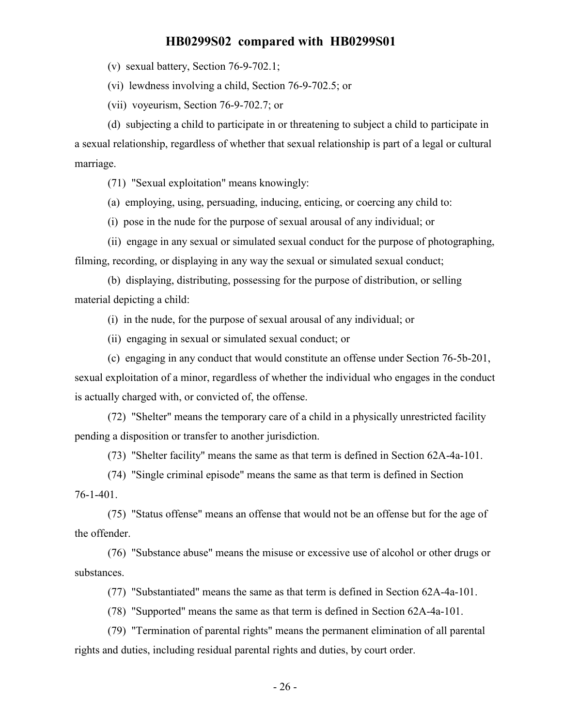(v) sexual battery, Section 76-9-702.1;

(vi) lewdness involving a child, Section 76-9-702.5; or

(vii) voyeurism, Section 76-9-702.7; or

(d) subjecting a child to participate in or threatening to subject a child to participate in a sexual relationship, regardless of whether that sexual relationship is part of a legal or cultural marriage.

(71) "Sexual exploitation" means knowingly:

(a) employing, using, persuading, inducing, enticing, or coercing any child to:

(i) pose in the nude for the purpose of sexual arousal of any individual; or

(ii) engage in any sexual or simulated sexual conduct for the purpose of photographing, filming, recording, or displaying in any way the sexual or simulated sexual conduct;

(b) displaying, distributing, possessing for the purpose of distribution, or selling material depicting a child:

(i) in the nude, for the purpose of sexual arousal of any individual; or

(ii) engaging in sexual or simulated sexual conduct; or

(c) engaging in any conduct that would constitute an offense under Section 76-5b-201,

sexual exploitation of a minor, regardless of whether the individual who engages in the conduct is actually charged with, or convicted of, the offense.

(72) "Shelter" means the temporary care of a child in a physically unrestricted facility pending a disposition or transfer to another jurisdiction.

(73) "Shelter facility" means the same as that term is defined in Section 62A-4a-101.

(74) "Single criminal episode" means the same as that term is defined in Section 76-1-401.

(75) "Status offense" means an offense that would not be an offense but for the age of the offender.

(76) "Substance abuse" means the misuse or excessive use of alcohol or other drugs or substances.

(77) "Substantiated" means the same as that term is defined in Section 62A-4a-101.

(78) "Supported" means the same as that term is defined in Section 62A-4a-101.

(79) "Termination of parental rights" means the permanent elimination of all parental rights and duties, including residual parental rights and duties, by court order.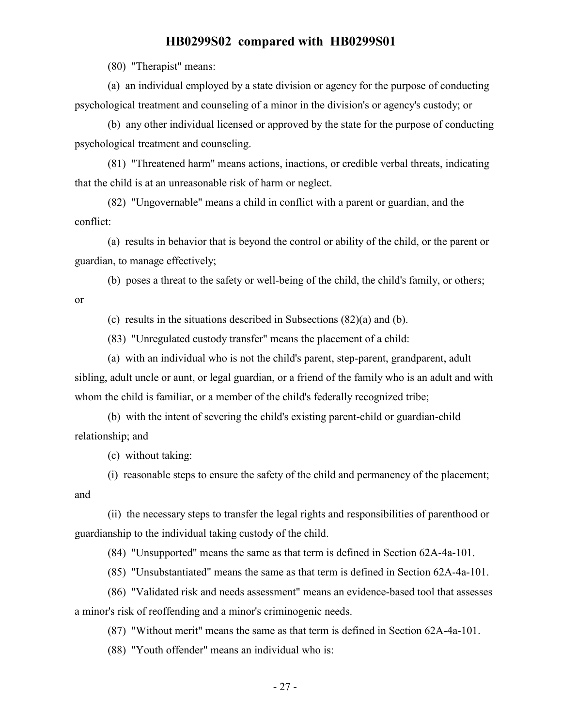(80) "Therapist" means:

(a) an individual employed by a state division or agency for the purpose of conducting psychological treatment and counseling of a minor in the division's or agency's custody; or

(b) any other individual licensed or approved by the state for the purpose of conducting psychological treatment and counseling.

(81) "Threatened harm" means actions, inactions, or credible verbal threats, indicating that the child is at an unreasonable risk of harm or neglect.

(82) "Ungovernable" means a child in conflict with a parent or guardian, and the conflict:

(a) results in behavior that is beyond the control or ability of the child, or the parent or guardian, to manage effectively;

(b) poses a threat to the safety or well-being of the child, the child's family, or others;

or

(c) results in the situations described in Subsections (82)(a) and (b).

(83) "Unregulated custody transfer" means the placement of a child:

(a) with an individual who is not the child's parent, step-parent, grandparent, adult sibling, adult uncle or aunt, or legal guardian, or a friend of the family who is an adult and with whom the child is familiar, or a member of the child's federally recognized tribe;

(b) with the intent of severing the child's existing parent-child or guardian-child relationship; and

(c) without taking:

(i) reasonable steps to ensure the safety of the child and permanency of the placement; and

(ii) the necessary steps to transfer the legal rights and responsibilities of parenthood or guardianship to the individual taking custody of the child.

(84) "Unsupported" means the same as that term is defined in Section 62A-4a-101.

(85) "Unsubstantiated" means the same as that term is defined in Section 62A-4a-101.

(86) "Validated risk and needs assessment" means an evidence-based tool that assesses a minor's risk of reoffending and a minor's criminogenic needs.

(87) "Without merit" means the same as that term is defined in Section 62A-4a-101.

(88) "Youth offender" means an individual who is: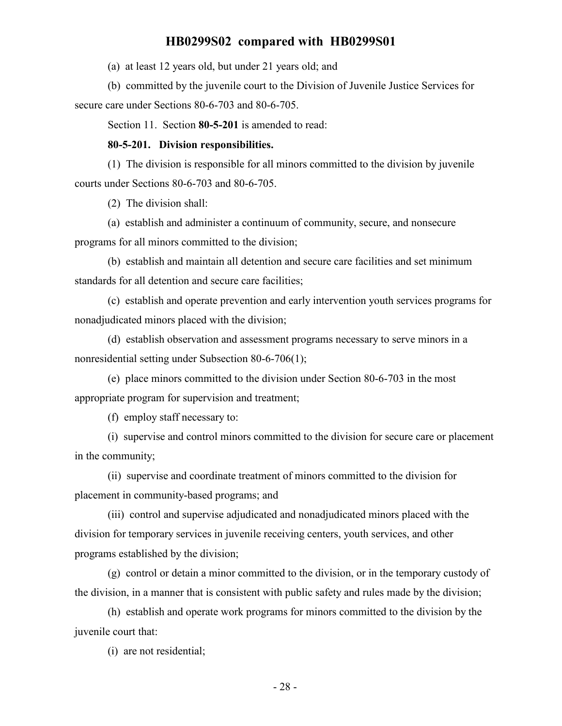(a) at least 12 years old, but under 21 years old; and

(b) committed by the juvenile court to the Division of Juvenile Justice Services for secure care under Sections 80-6-703 and 80-6-705.

Section 11. Section **80-5-201** is amended to read:

#### **80-5-201. Division responsibilities.**

(1) The division is responsible for all minors committed to the division by juvenile courts under Sections 80-6-703 and 80-6-705.

(2) The division shall:

(a) establish and administer a continuum of community, secure, and nonsecure programs for all minors committed to the division;

(b) establish and maintain all detention and secure care facilities and set minimum standards for all detention and secure care facilities;

(c) establish and operate prevention and early intervention youth services programs for nonadjudicated minors placed with the division;

(d) establish observation and assessment programs necessary to serve minors in a nonresidential setting under Subsection 80-6-706(1);

(e) place minors committed to the division under Section 80-6-703 in the most appropriate program for supervision and treatment;

(f) employ staff necessary to:

(i) supervise and control minors committed to the division for secure care or placement in the community;

(ii) supervise and coordinate treatment of minors committed to the division for placement in community-based programs; and

(iii) control and supervise adjudicated and nonadjudicated minors placed with the division for temporary services in juvenile receiving centers, youth services, and other programs established by the division;

(g) control or detain a minor committed to the division, or in the temporary custody of the division, in a manner that is consistent with public safety and rules made by the division;

(h) establish and operate work programs for minors committed to the division by the juvenile court that:

(i) are not residential;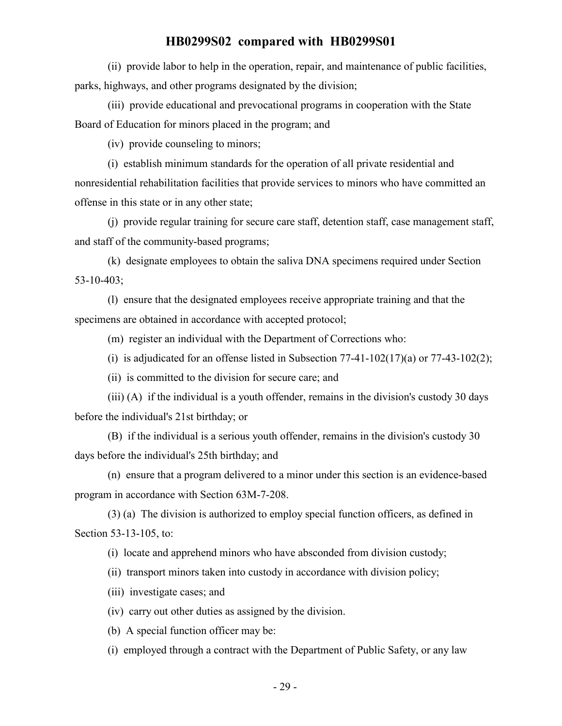(ii) provide labor to help in the operation, repair, and maintenance of public facilities, parks, highways, and other programs designated by the division;

(iii) provide educational and prevocational programs in cooperation with the State Board of Education for minors placed in the program; and

(iv) provide counseling to minors;

(i) establish minimum standards for the operation of all private residential and nonresidential rehabilitation facilities that provide services to minors who have committed an offense in this state or in any other state;

(j) provide regular training for secure care staff, detention staff, case management staff, and staff of the community-based programs;

(k) designate employees to obtain the saliva DNA specimens required under Section 53-10-403;

(l) ensure that the designated employees receive appropriate training and that the specimens are obtained in accordance with accepted protocol;

(m) register an individual with the Department of Corrections who:

(i) is adjudicated for an offense listed in Subsection  $77-41-102(17)(a)$  or  $77-43-102(2)$ ;

(ii) is committed to the division for secure care; and

(iii) (A) if the individual is a youth offender, remains in the division's custody 30 days before the individual's 21st birthday; or

(B) if the individual is a serious youth offender, remains in the division's custody 30 days before the individual's 25th birthday; and

(n) ensure that a program delivered to a minor under this section is an evidence-based program in accordance with Section 63M-7-208.

(3) (a) The division is authorized to employ special function officers, as defined in Section 53-13-105, to:

(i) locate and apprehend minors who have absconded from division custody;

(ii) transport minors taken into custody in accordance with division policy;

(iii) investigate cases; and

(iv) carry out other duties as assigned by the division.

(b) A special function officer may be:

(i) employed through a contract with the Department of Public Safety, or any law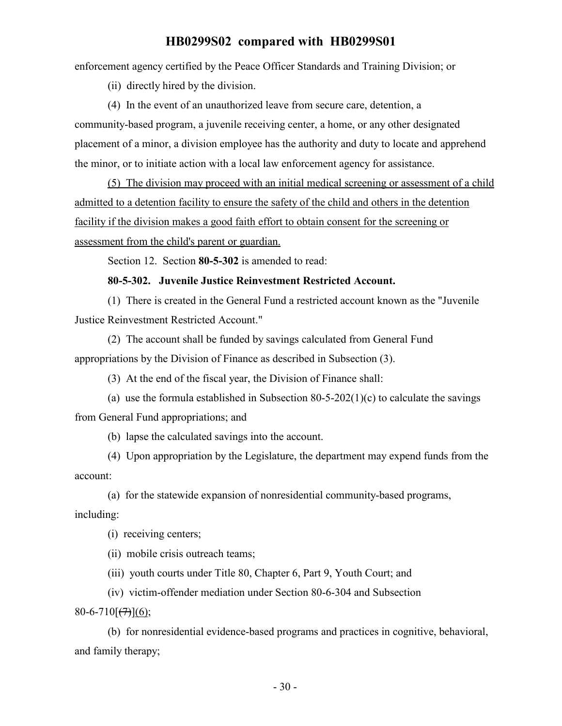enforcement agency certified by the Peace Officer Standards and Training Division; or

(ii) directly hired by the division.

(4) In the event of an unauthorized leave from secure care, detention, a community-based program, a juvenile receiving center, a home, or any other designated placement of a minor, a division employee has the authority and duty to locate and apprehend the minor, or to initiate action with a local law enforcement agency for assistance.

(5) The division may proceed with an initial medical screening or assessment of a child admitted to a detention facility to ensure the safety of the child and others in the detention facility if the division makes a good faith effort to obtain consent for the screening or assessment from the child's parent or guardian.

Section 12. Section **80-5-302** is amended to read:

#### **80-5-302. Juvenile Justice Reinvestment Restricted Account.**

(1) There is created in the General Fund a restricted account known as the "Juvenile Justice Reinvestment Restricted Account."

(2) The account shall be funded by savings calculated from General Fund appropriations by the Division of Finance as described in Subsection (3).

(3) At the end of the fiscal year, the Division of Finance shall:

(a) use the formula established in Subsection  $80-5-202(1)(c)$  to calculate the savings from General Fund appropriations; and

(b) lapse the calculated savings into the account.

(4) Upon appropriation by the Legislature, the department may expend funds from the account:

(a) for the statewide expansion of nonresidential community-based programs,

including:

(i) receiving centers;

(ii) mobile crisis outreach teams;

(iii) youth courts under Title 80, Chapter 6, Part 9, Youth Court; and

(iv) victim-offender mediation under Section 80-6-304 and Subsection

 $80-6-710[(77)(6);$ 

(b) for nonresidential evidence-based programs and practices in cognitive, behavioral, and family therapy;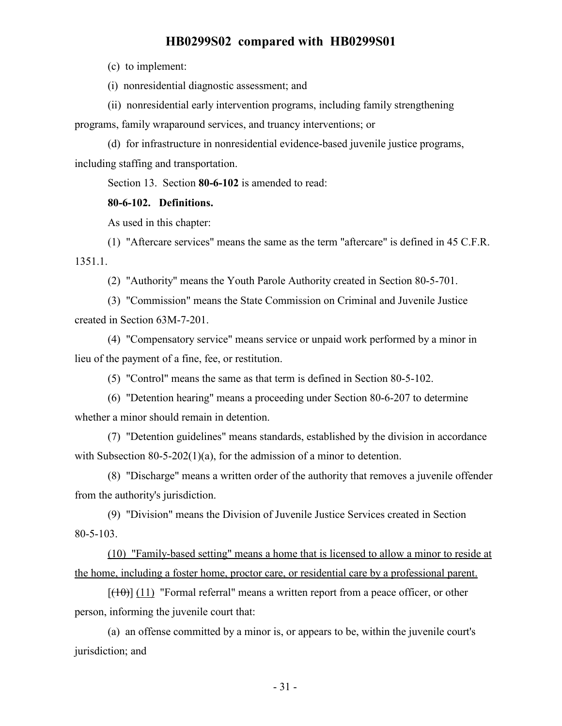(c) to implement:

(i) nonresidential diagnostic assessment; and

(ii) nonresidential early intervention programs, including family strengthening programs, family wraparound services, and truancy interventions; or

(d) for infrastructure in nonresidential evidence-based juvenile justice programs, including staffing and transportation.

Section 13. Section **80-6-102** is amended to read:

#### **80-6-102. Definitions.**

As used in this chapter:

(1) "Aftercare services" means the same as the term "aftercare" is defined in 45 C.F.R. 1351.1.

(2) "Authority" means the Youth Parole Authority created in Section 80-5-701.

(3) "Commission" means the State Commission on Criminal and Juvenile Justice created in Section 63M-7-201.

(4) "Compensatory service" means service or unpaid work performed by a minor in lieu of the payment of a fine, fee, or restitution.

(5) "Control" means the same as that term is defined in Section 80-5-102.

(6) "Detention hearing" means a proceeding under Section 80-6-207 to determine whether a minor should remain in detention.

(7) "Detention guidelines" means standards, established by the division in accordance with Subsection 80-5-202(1)(a), for the admission of a minor to detention.

(8) "Discharge" means a written order of the authority that removes a juvenile offender from the authority's jurisdiction.

(9) "Division" means the Division of Juvenile Justice Services created in Section 80-5-103.

(10) "Family-based setting" means a home that is licensed to allow a minor to reside at the home, including a foster home, proctor care, or residential care by a professional parent.

 $[({10})]$  (11) "Formal referral" means a written report from a peace officer, or other person, informing the juvenile court that:

(a) an offense committed by a minor is, or appears to be, within the juvenile court's jurisdiction; and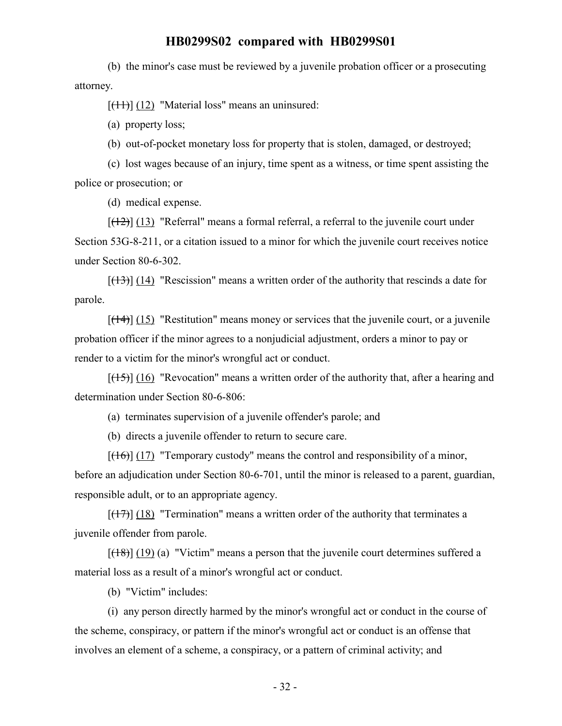(b) the minor's case must be reviewed by a juvenile probation officer or a prosecuting attorney.

 $[(11)] (12)$  "Material loss" means an uninsured:

(a) property loss;

(b) out-of-pocket monetary loss for property that is stolen, damaged, or destroyed;

(c) lost wages because of an injury, time spent as a witness, or time spent assisting the police or prosecution; or

(d) medical expense.

 $[(12)]$  (13) "Referral" means a formal referral, a referral to the juvenile court under Section 53G-8-211, or a citation issued to a minor for which the juvenile court receives notice under Section 80-6-302.

 $[({13})]$  (14) "Rescission" means a written order of the authority that rescinds a date for parole.

 $[({14})]$  (15) "Restitution" means money or services that the juvenile court, or a juvenile probation officer if the minor agrees to a nonjudicial adjustment, orders a minor to pay or render to a victim for the minor's wrongful act or conduct.

 $[(15)] (16)$  "Revocation" means a written order of the authority that, after a hearing and determination under Section 80-6-806:

(a) terminates supervision of a juvenile offender's parole; and

(b) directs a juvenile offender to return to secure care.

 $[({16})]$  (17) "Temporary custody" means the control and responsibility of a minor, before an adjudication under Section 80-6-701, until the minor is released to a parent, guardian, responsible adult, or to an appropriate agency.

 $[(17)]$   $(18)$  "Termination" means a written order of the authority that terminates a juvenile offender from parole.

 $[({18})]$  (19) (a) "Victim" means a person that the juvenile court determines suffered a material loss as a result of a minor's wrongful act or conduct.

(b) "Victim" includes:

(i) any person directly harmed by the minor's wrongful act or conduct in the course of the scheme, conspiracy, or pattern if the minor's wrongful act or conduct is an offense that involves an element of a scheme, a conspiracy, or a pattern of criminal activity; and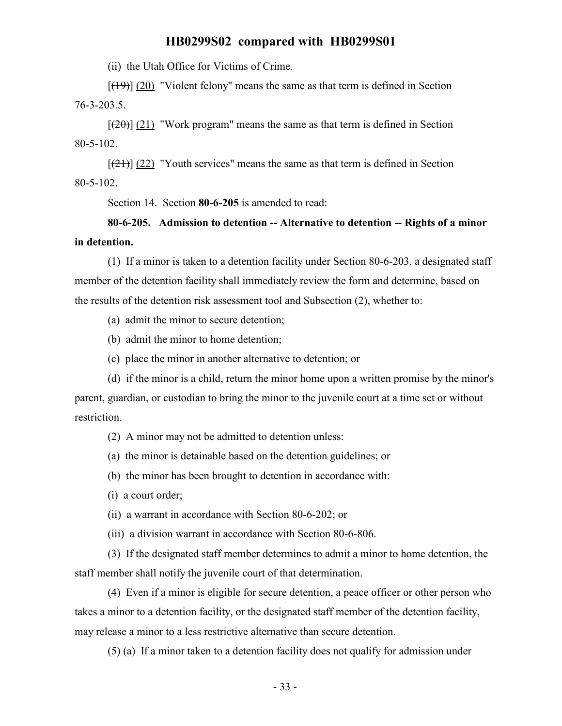(ii) the Utah Office for Victims of Crime.

 $[(19)] (20)$  "Violent felony" means the same as that term is defined in Section 76-3-203.5.

 $[\frac{120}{2}]$  (21) "Work program" means the same as that term is defined in Section 80-5-102.

 $[\frac{(21)}{(22)}]$  "Youth services" means the same as that term is defined in Section 80-5-102.

Section 14. Section **80-6-205** is amended to read:

# **80-6-205. Admission to detention -- Alternative to detention -- Rights of a minor in detention.**

(1) If a minor is taken to a detention facility under Section 80-6-203, a designated staff member of the detention facility shall immediately review the form and determine, based on the results of the detention risk assessment tool and Subsection (2), whether to:

(a) admit the minor to secure detention;

(b) admit the minor to home detention;

(c) place the minor in another alternative to detention; or

(d) if the minor is a child, return the minor home upon a written promise by the minor's parent, guardian, or custodian to bring the minor to the juvenile court at a time set or without restriction.

(2) A minor may not be admitted to detention unless:

(a) the minor is detainable based on the detention guidelines; or

(b) the minor has been brought to detention in accordance with:

(i) a court order;

(ii) a warrant in accordance with Section 80-6-202; or

(iii) a division warrant in accordance with Section 80-6-806.

(3) If the designated staff member determines to admit a minor to home detention, the staff member shall notify the juvenile court of that determination.

(4) Even if a minor is eligible for secure detention, a peace officer or other person who takes a minor to a detention facility, or the designated staff member of the detention facility, may release a minor to a less restrictive alternative than secure detention.

(5) (a) If a minor taken to a detention facility does not qualify for admission under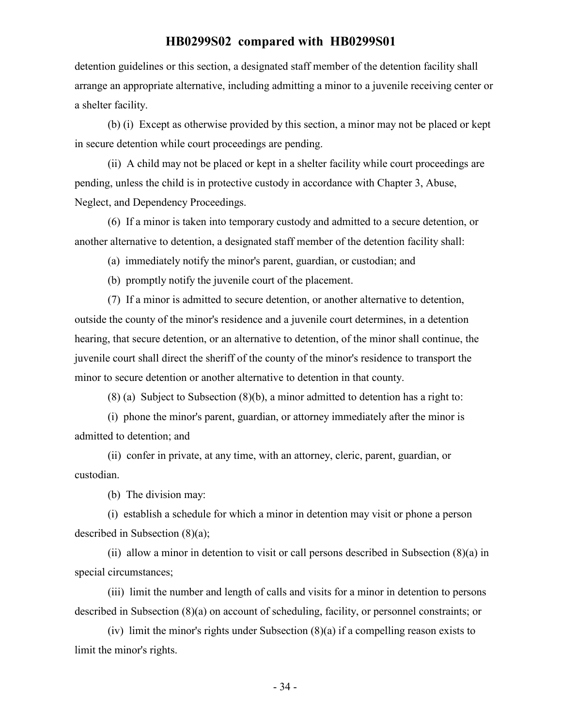detention guidelines or this section, a designated staff member of the detention facility shall arrange an appropriate alternative, including admitting a minor to a juvenile receiving center or a shelter facility.

(b) (i) Except as otherwise provided by this section, a minor may not be placed or kept in secure detention while court proceedings are pending.

(ii) A child may not be placed or kept in a shelter facility while court proceedings are pending, unless the child is in protective custody in accordance with Chapter 3, Abuse, Neglect, and Dependency Proceedings.

(6) If a minor is taken into temporary custody and admitted to a secure detention, or another alternative to detention, a designated staff member of the detention facility shall:

(a) immediately notify the minor's parent, guardian, or custodian; and

(b) promptly notify the juvenile court of the placement.

(7) If a minor is admitted to secure detention, or another alternative to detention, outside the county of the minor's residence and a juvenile court determines, in a detention hearing, that secure detention, or an alternative to detention, of the minor shall continue, the juvenile court shall direct the sheriff of the county of the minor's residence to transport the minor to secure detention or another alternative to detention in that county.

(8) (a) Subject to Subsection (8)(b), a minor admitted to detention has a right to:

(i) phone the minor's parent, guardian, or attorney immediately after the minor is admitted to detention; and

(ii) confer in private, at any time, with an attorney, cleric, parent, guardian, or custodian.

(b) The division may:

(i) establish a schedule for which a minor in detention may visit or phone a person described in Subsection (8)(a);

(ii) allow a minor in detention to visit or call persons described in Subsection (8)(a) in special circumstances;

(iii) limit the number and length of calls and visits for a minor in detention to persons described in Subsection (8)(a) on account of scheduling, facility, or personnel constraints; or

(iv) limit the minor's rights under Subsection (8)(a) if a compelling reason exists to limit the minor's rights.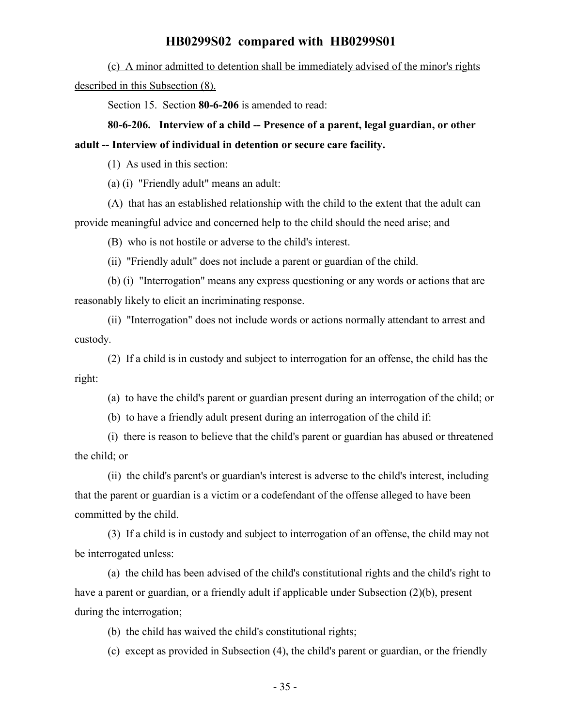(c) A minor admitted to detention shall be immediately advised of the minor's rights described in this Subsection  $(8)$ .

Section 15. Section **80-6-206** is amended to read:

# **80-6-206. Interview of a child -- Presence of a parent, legal guardian, or other adult -- Interview of individual in detention or secure care facility.**

(1) As used in this section:

(a) (i) "Friendly adult" means an adult:

(A) that has an established relationship with the child to the extent that the adult can provide meaningful advice and concerned help to the child should the need arise; and

(B) who is not hostile or adverse to the child's interest.

(ii) "Friendly adult" does not include a parent or guardian of the child.

(b) (i) "Interrogation" means any express questioning or any words or actions that are reasonably likely to elicit an incriminating response.

(ii) "Interrogation" does not include words or actions normally attendant to arrest and custody.

(2) If a child is in custody and subject to interrogation for an offense, the child has the right:

(a) to have the child's parent or guardian present during an interrogation of the child; or

(b) to have a friendly adult present during an interrogation of the child if:

(i) there is reason to believe that the child's parent or guardian has abused or threatened the child; or

(ii) the child's parent's or guardian's interest is adverse to the child's interest, including that the parent or guardian is a victim or a codefendant of the offense alleged to have been committed by the child.

(3) If a child is in custody and subject to interrogation of an offense, the child may not be interrogated unless:

(a) the child has been advised of the child's constitutional rights and the child's right to have a parent or guardian, or a friendly adult if applicable under Subsection (2)(b), present during the interrogation;

(b) the child has waived the child's constitutional rights;

(c) except as provided in Subsection (4), the child's parent or guardian, or the friendly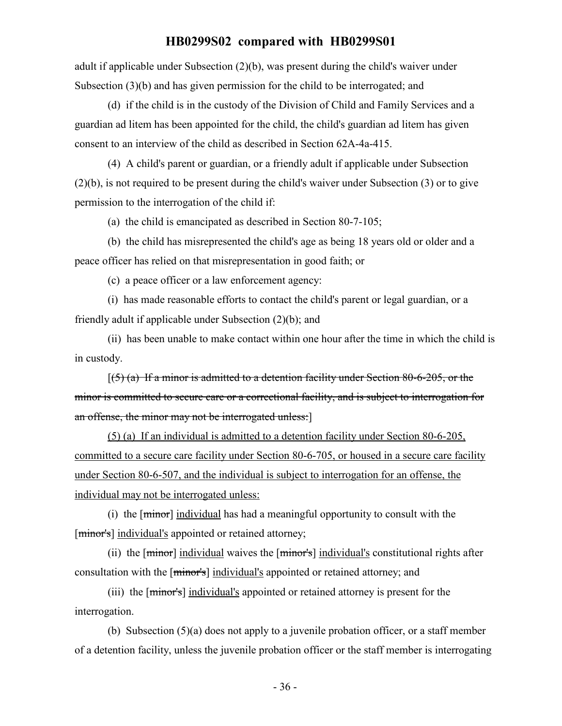adult if applicable under Subsection (2)(b), was present during the child's waiver under Subsection (3)(b) and has given permission for the child to be interrogated; and

(d) if the child is in the custody of the Division of Child and Family Services and a guardian ad litem has been appointed for the child, the child's guardian ad litem has given consent to an interview of the child as described in Section 62A-4a-415.

(4) A child's parent or guardian, or a friendly adult if applicable under Subsection (2)(b), is not required to be present during the child's waiver under Subsection (3) or to give permission to the interrogation of the child if:

(a) the child is emancipated as described in Section 80-7-105;

(b) the child has misrepresented the child's age as being 18 years old or older and a peace officer has relied on that misrepresentation in good faith; or

(c) a peace officer or a law enforcement agency:

(i) has made reasonable efforts to contact the child's parent or legal guardian, or a friendly adult if applicable under Subsection (2)(b); and

(ii) has been unable to make contact within one hour after the time in which the child is in custody.

 $(5)$  (a) If a minor is admitted to a detention facility under Section 80-6-205, or the minor is committed to secure care or a correctional facility, and is subject to interrogation for an offense, the minor may not be interrogated unless:]

(5) (a) If an individual is admitted to a detention facility under Section 80-6-205, committed to a secure care facility under Section 80-6-705, or housed in a secure care facility under Section 80-6-507, and the individual is subject to interrogation for an offense, the individual may not be interrogated unless:

(i) the [minor] individual has had a meaningful opportunity to consult with the [minor's] individual's appointed or retained attorney;

(ii) the  $[\text{minor}]$  individual waives the  $[\text{minor}]$  individual's constitutional rights after consultation with the [minor's] individual's appointed or retained attorney; and

(iii) the [minor's] individual's appointed or retained attorney is present for the interrogation.

(b) Subsection (5)(a) does not apply to a juvenile probation officer, or a staff member of a detention facility, unless the juvenile probation officer or the staff member is interrogating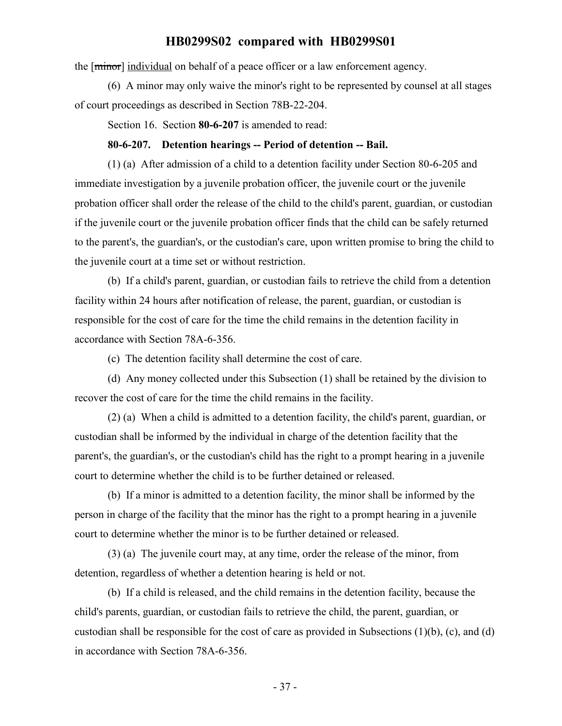the [minor] individual on behalf of a peace officer or a law enforcement agency.

(6) A minor may only waive the minor's right to be represented by counsel at all stages of court proceedings as described in Section 78B-22-204.

Section 16. Section **80-6-207** is amended to read:

#### **80-6-207. Detention hearings -- Period of detention -- Bail.**

(1) (a) After admission of a child to a detention facility under Section 80-6-205 and immediate investigation by a juvenile probation officer, the juvenile court or the juvenile probation officer shall order the release of the child to the child's parent, guardian, or custodian if the juvenile court or the juvenile probation officer finds that the child can be safely returned to the parent's, the guardian's, or the custodian's care, upon written promise to bring the child to the juvenile court at a time set or without restriction.

(b) If a child's parent, guardian, or custodian fails to retrieve the child from a detention facility within 24 hours after notification of release, the parent, guardian, or custodian is responsible for the cost of care for the time the child remains in the detention facility in accordance with Section 78A-6-356.

(c) The detention facility shall determine the cost of care.

(d) Any money collected under this Subsection (1) shall be retained by the division to recover the cost of care for the time the child remains in the facility.

(2) (a) When a child is admitted to a detention facility, the child's parent, guardian, or custodian shall be informed by the individual in charge of the detention facility that the parent's, the guardian's, or the custodian's child has the right to a prompt hearing in a juvenile court to determine whether the child is to be further detained or released.

(b) If a minor is admitted to a detention facility, the minor shall be informed by the person in charge of the facility that the minor has the right to a prompt hearing in a juvenile court to determine whether the minor is to be further detained or released.

(3) (a) The juvenile court may, at any time, order the release of the minor, from detention, regardless of whether a detention hearing is held or not.

(b) If a child is released, and the child remains in the detention facility, because the child's parents, guardian, or custodian fails to retrieve the child, the parent, guardian, or custodian shall be responsible for the cost of care as provided in Subsections  $(1)(b)$ ,  $(c)$ , and  $(d)$ in accordance with Section 78A-6-356.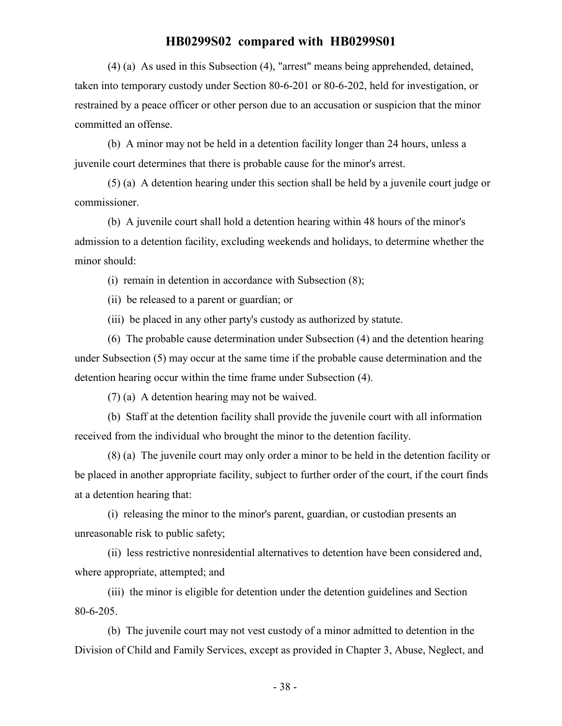(4) (a) As used in this Subsection (4), "arrest" means being apprehended, detained, taken into temporary custody under Section 80-6-201 or 80-6-202, held for investigation, or restrained by a peace officer or other person due to an accusation or suspicion that the minor committed an offense.

(b) A minor may not be held in a detention facility longer than 24 hours, unless a juvenile court determines that there is probable cause for the minor's arrest.

(5) (a) A detention hearing under this section shall be held by a juvenile court judge or commissioner.

(b) A juvenile court shall hold a detention hearing within 48 hours of the minor's admission to a detention facility, excluding weekends and holidays, to determine whether the minor should:

(i) remain in detention in accordance with Subsection (8);

(ii) be released to a parent or guardian; or

(iii) be placed in any other party's custody as authorized by statute.

(6) The probable cause determination under Subsection (4) and the detention hearing under Subsection (5) may occur at the same time if the probable cause determination and the detention hearing occur within the time frame under Subsection (4).

(7) (a) A detention hearing may not be waived.

(b) Staff at the detention facility shall provide the juvenile court with all information received from the individual who brought the minor to the detention facility.

(8) (a) The juvenile court may only order a minor to be held in the detention facility or be placed in another appropriate facility, subject to further order of the court, if the court finds at a detention hearing that:

(i) releasing the minor to the minor's parent, guardian, or custodian presents an unreasonable risk to public safety;

(ii) less restrictive nonresidential alternatives to detention have been considered and, where appropriate, attempted; and

(iii) the minor is eligible for detention under the detention guidelines and Section 80-6-205.

(b) The juvenile court may not vest custody of a minor admitted to detention in the Division of Child and Family Services, except as provided in Chapter 3, Abuse, Neglect, and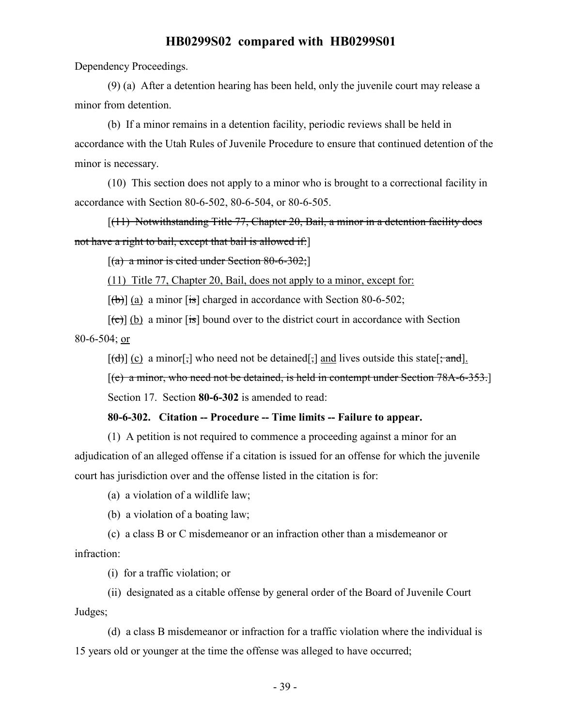Dependency Proceedings.

(9) (a) After a detention hearing has been held, only the juvenile court may release a minor from detention.

(b) If a minor remains in a detention facility, periodic reviews shall be held in accordance with the Utah Rules of Juvenile Procedure to ensure that continued detention of the minor is necessary.

(10) This section does not apply to a minor who is brought to a correctional facility in accordance with Section 80-6-502, 80-6-504, or 80-6-505.

[(11) Notwithstanding Title 77, Chapter 20, Bail, a minor in a detention facility does not have a right to bail, except that bail is allowed if:]

 $[(a)$  a minor is cited under Section 80-6-302;

(11) Title 77, Chapter 20, Bail, does not apply to a minor, except for:

 $[\frac{1}{2}(\theta)]$  (a) a minor [is] charged in accordance with Section 80-6-502;

 $[\text{e}(\epsilon)]$  (b) a minor  $[\text{is}]$  bound over to the district court in accordance with Section 80-6-504; or

 $[(d)] (c)$  a minor[;] who need not be detained[;] and lives outside this state[; and].

[(e) a minor, who need not be detained, is held in contempt under Section 78A-6-353.]

Section 17. Section **80-6-302** is amended to read:

#### **80-6-302. Citation -- Procedure -- Time limits -- Failure to appear.**

(1) A petition is not required to commence a proceeding against a minor for an adjudication of an alleged offense if a citation is issued for an offense for which the juvenile court has jurisdiction over and the offense listed in the citation is for:

(a) a violation of a wildlife law;

(b) a violation of a boating law;

(c) a class B or C misdemeanor or an infraction other than a misdemeanor or infraction:

(i) for a traffic violation; or

(ii) designated as a citable offense by general order of the Board of Juvenile Court Judges;

(d) a class B misdemeanor or infraction for a traffic violation where the individual is 15 years old or younger at the time the offense was alleged to have occurred;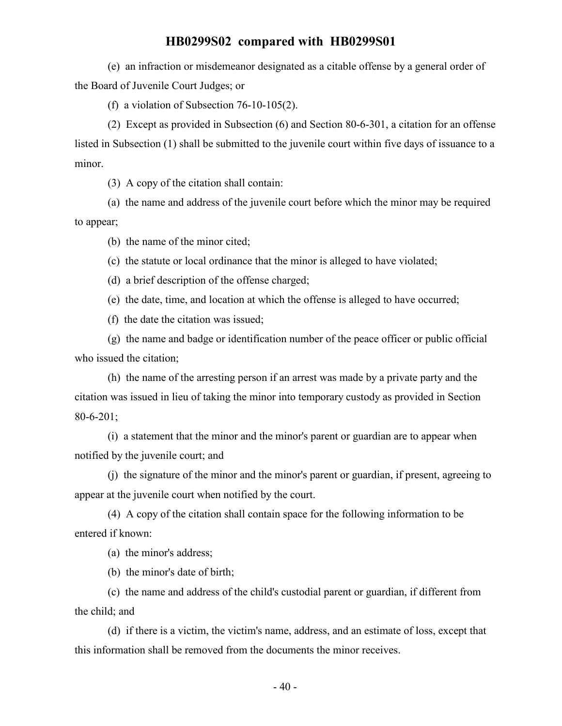(e) an infraction or misdemeanor designated as a citable offense by a general order of the Board of Juvenile Court Judges; or

(f) a violation of Subsection 76-10-105(2).

(2) Except as provided in Subsection (6) and Section 80-6-301, a citation for an offense listed in Subsection (1) shall be submitted to the juvenile court within five days of issuance to a minor.

(3) A copy of the citation shall contain:

(a) the name and address of the juvenile court before which the minor may be required to appear;

(b) the name of the minor cited;

(c) the statute or local ordinance that the minor is alleged to have violated;

(d) a brief description of the offense charged;

(e) the date, time, and location at which the offense is alleged to have occurred;

(f) the date the citation was issued;

(g) the name and badge or identification number of the peace officer or public official who issued the citation;

(h) the name of the arresting person if an arrest was made by a private party and the citation was issued in lieu of taking the minor into temporary custody as provided in Section 80-6-201;

(i) a statement that the minor and the minor's parent or guardian are to appear when notified by the juvenile court; and

(j) the signature of the minor and the minor's parent or guardian, if present, agreeing to appear at the juvenile court when notified by the court.

(4) A copy of the citation shall contain space for the following information to be entered if known:

(a) the minor's address;

(b) the minor's date of birth;

(c) the name and address of the child's custodial parent or guardian, if different from the child; and

(d) if there is a victim, the victim's name, address, and an estimate of loss, except that this information shall be removed from the documents the minor receives.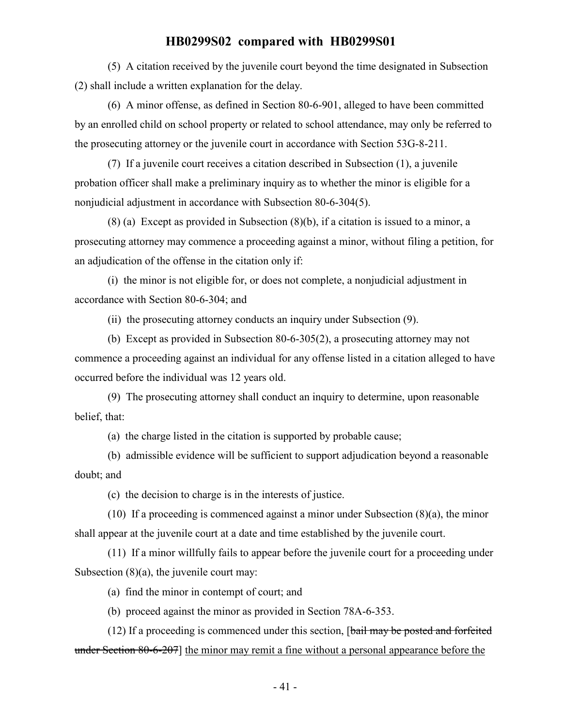(5) A citation received by the juvenile court beyond the time designated in Subsection (2) shall include a written explanation for the delay.

(6) A minor offense, as defined in Section 80-6-901, alleged to have been committed by an enrolled child on school property or related to school attendance, may only be referred to the prosecuting attorney or the juvenile court in accordance with Section 53G-8-211.

(7) If a juvenile court receives a citation described in Subsection (1), a juvenile probation officer shall make a preliminary inquiry as to whether the minor is eligible for a nonjudicial adjustment in accordance with Subsection 80-6-304(5).

(8) (a) Except as provided in Subsection (8)(b), if a citation is issued to a minor, a prosecuting attorney may commence a proceeding against a minor, without filing a petition, for an adjudication of the offense in the citation only if:

(i) the minor is not eligible for, or does not complete, a nonjudicial adjustment in accordance with Section 80-6-304; and

(ii) the prosecuting attorney conducts an inquiry under Subsection (9).

(b) Except as provided in Subsection 80-6-305(2), a prosecuting attorney may not commence a proceeding against an individual for any offense listed in a citation alleged to have occurred before the individual was 12 years old.

(9) The prosecuting attorney shall conduct an inquiry to determine, upon reasonable belief, that:

(a) the charge listed in the citation is supported by probable cause;

(b) admissible evidence will be sufficient to support adjudication beyond a reasonable doubt; and

(c) the decision to charge is in the interests of justice.

(10) If a proceeding is commenced against a minor under Subsection (8)(a), the minor shall appear at the juvenile court at a date and time established by the juvenile court.

(11) If a minor willfully fails to appear before the juvenile court for a proceeding under Subsection (8)(a), the juvenile court may:

(a) find the minor in contempt of court; and

(b) proceed against the minor as provided in Section 78A-6-353.

 $(12)$  If a proceeding is commenced under this section,  $\lceil \frac{b}{\text{tail}} \rceil$  may be posted and forfeited under Section 80-6-207] the minor may remit a fine without a personal appearance before the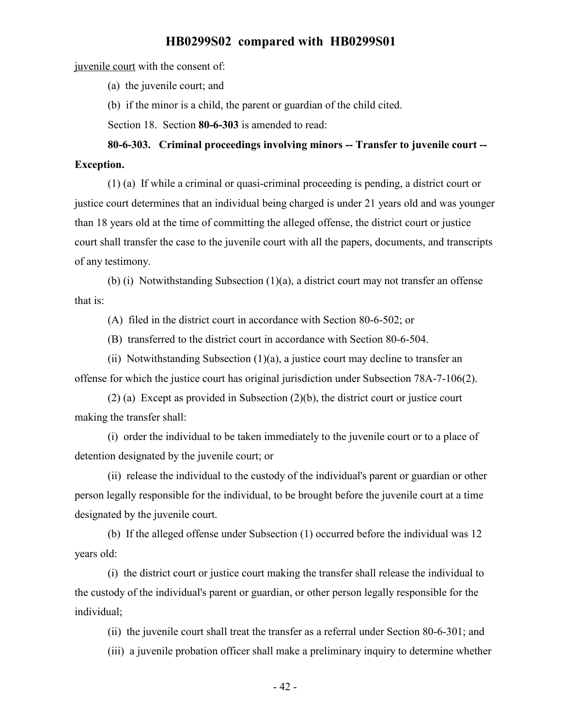juvenile court with the consent of:

(a) the juvenile court; and

(b) if the minor is a child, the parent or guardian of the child cited.

Section 18. Section **80-6-303** is amended to read:

**80-6-303. Criminal proceedings involving minors -- Transfer to juvenile court -- Exception.**

(1) (a) If while a criminal or quasi-criminal proceeding is pending, a district court or justice court determines that an individual being charged is under 21 years old and was younger than 18 years old at the time of committing the alleged offense, the district court or justice court shall transfer the case to the juvenile court with all the papers, documents, and transcripts of any testimony.

(b) (i) Notwithstanding Subsection (1)(a), a district court may not transfer an offense that is:

(A) filed in the district court in accordance with Section 80-6-502; or

(B) transferred to the district court in accordance with Section 80-6-504.

(ii) Notwithstanding Subsection  $(1)(a)$ , a justice court may decline to transfer an offense for which the justice court has original jurisdiction under Subsection 78A-7-106(2).

(2) (a) Except as provided in Subsection (2)(b), the district court or justice court making the transfer shall:

(i) order the individual to be taken immediately to the juvenile court or to a place of detention designated by the juvenile court; or

(ii) release the individual to the custody of the individual's parent or guardian or other person legally responsible for the individual, to be brought before the juvenile court at a time designated by the juvenile court.

(b) If the alleged offense under Subsection (1) occurred before the individual was 12 years old:

(i) the district court or justice court making the transfer shall release the individual to the custody of the individual's parent or guardian, or other person legally responsible for the individual;

(ii) the juvenile court shall treat the transfer as a referral under Section 80-6-301; and

(iii) a juvenile probation officer shall make a preliminary inquiry to determine whether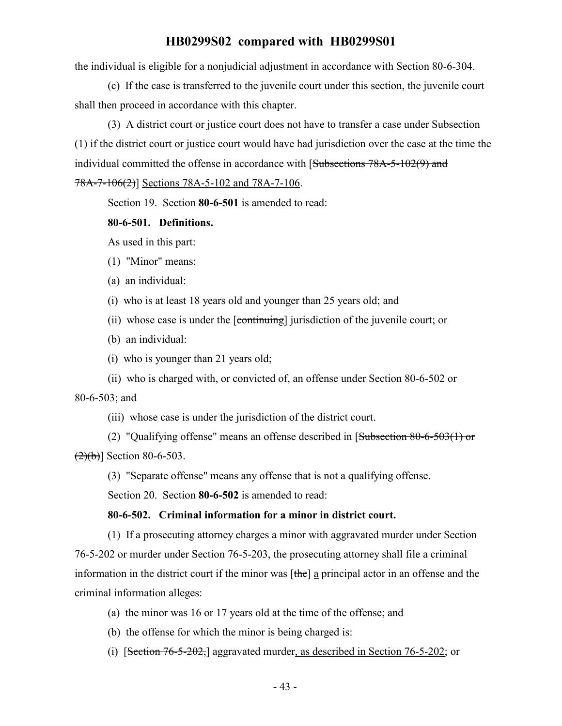the individual is eligible for a nonjudicial adjustment in accordance with Section 80-6-304.

(c) If the case is transferred to the juvenile court under this section, the juvenile court shall then proceed in accordance with this chapter.

(3) A district court or justice court does not have to transfer a case under Subsection (1) if the district court or justice court would have had jurisdiction over the case at the time the individual committed the offense in accordance with [Subsections 78A-5-102(9) and 78A-7-106(2)] Sections 78A-5-102 and 78A-7-106.

Section 19. Section **80-6-501** is amended to read:

#### **80-6-501. Definitions.**

As used in this part:

- (1) "Minor" means:
- (a) an individual:
- (i) who is at least 18 years old and younger than 25 years old; and
- (ii) whose case is under the [continuing] jurisdiction of the juvenile court; or
- (b) an individual:
- (i) who is younger than 21 years old;
- (ii) who is charged with, or convicted of, an offense under Section 80-6-502 or

80-6-503; and

(iii) whose case is under the jurisdiction of the district court.

(2) "Qualifying offense" means an offense described in [Subsection 80-6-503(1) or  $(2)(b)$ ] Section 80-6-503.

(3) "Separate offense" means any offense that is not a qualifying offense.

Section 20. Section **80-6-502** is amended to read:

#### **80-6-502. Criminal information for a minor in district court.**

(1) If a prosecuting attorney charges a minor with aggravated murder under Section 76-5-202 or murder under Section 76-5-203, the prosecuting attorney shall file a criminal information in the district court if the minor was  $[\theta]$  a principal actor in an offense and the criminal information alleges:

- (a) the minor was 16 or 17 years old at the time of the offense; and
- (b) the offense for which the minor is being charged is:
- (i) [Section 76-5-202,] aggravated murder, as described in Section 76-5-202; or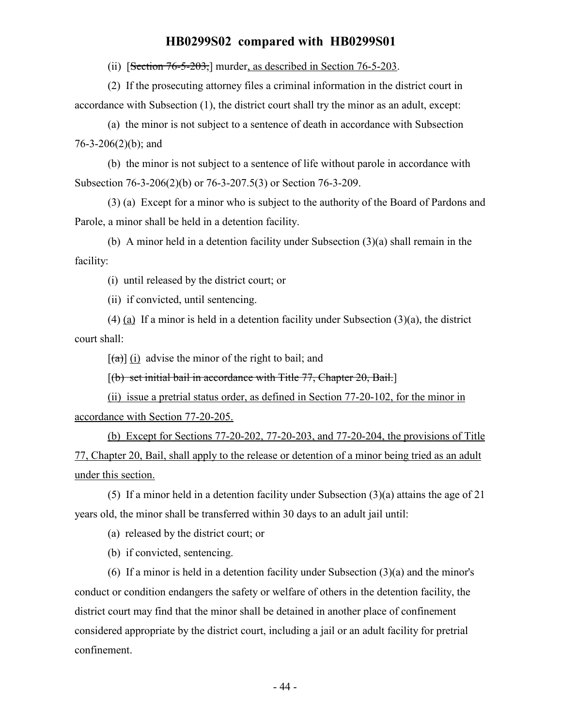(ii) [Section 76-5-203,] murder, as described in Section 76-5-203.

(2) If the prosecuting attorney files a criminal information in the district court in accordance with Subsection (1), the district court shall try the minor as an adult, except:

(a) the minor is not subject to a sentence of death in accordance with Subsection 76-3-206(2)(b); and

(b) the minor is not subject to a sentence of life without parole in accordance with Subsection 76-3-206(2)(b) or 76-3-207.5(3) or Section 76-3-209.

(3) (a) Except for a minor who is subject to the authority of the Board of Pardons and Parole, a minor shall be held in a detention facility.

(b) A minor held in a detention facility under Subsection (3)(a) shall remain in the facility:

(i) until released by the district court; or

(ii) if convicted, until sentencing.

(4) (a) If a minor is held in a detention facility under Subsection (3)(a), the district court shall:

 $[(a)]$  (i) advise the minor of the right to bail; and

 $[(b)$  set initial bail in accordance with Title 77, Chapter 20, Bail.

(ii) issue a pretrial status order, as defined in Section 77-20-102, for the minor in accordance with Section 77-20-205.

(b) Except for Sections 77-20-202, 77-20-203, and 77-20-204, the provisions of Title 77, Chapter 20, Bail, shall apply to the release or detention of a minor being tried as an adult under this section.

(5) If a minor held in a detention facility under Subsection (3)(a) attains the age of 21 years old, the minor shall be transferred within 30 days to an adult jail until:

(a) released by the district court; or

(b) if convicted, sentencing.

(6) If a minor is held in a detention facility under Subsection  $(3)(a)$  and the minor's conduct or condition endangers the safety or welfare of others in the detention facility, the district court may find that the minor shall be detained in another place of confinement considered appropriate by the district court, including a jail or an adult facility for pretrial confinement.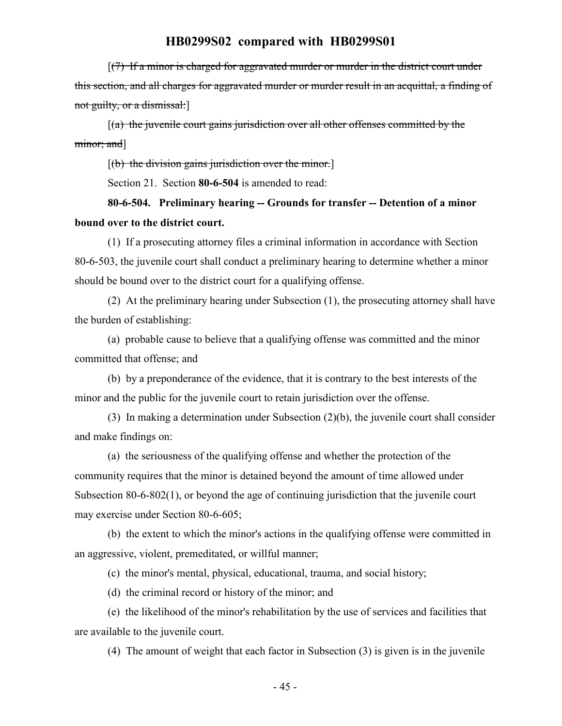[(7) If a minor is charged for aggravated murder or murder in the district court under this section, and all charges for aggravated murder or murder result in an acquittal, a finding of not guilty, or a dismissal:]

 $[(a)$  the juvenile court gains jurisdiction over all other offenses committed by the minor; and]

 $[(b)$  the division gains jurisdiction over the minor.

Section 21. Section **80-6-504** is amended to read:

**80-6-504. Preliminary hearing -- Grounds for transfer -- Detention of a minor bound over to the district court.**

(1) If a prosecuting attorney files a criminal information in accordance with Section 80-6-503, the juvenile court shall conduct a preliminary hearing to determine whether a minor should be bound over to the district court for a qualifying offense.

(2) At the preliminary hearing under Subsection (1), the prosecuting attorney shall have the burden of establishing:

(a) probable cause to believe that a qualifying offense was committed and the minor committed that offense; and

(b) by a preponderance of the evidence, that it is contrary to the best interests of the minor and the public for the juvenile court to retain jurisdiction over the offense.

(3) In making a determination under Subsection (2)(b), the juvenile court shall consider and make findings on:

(a) the seriousness of the qualifying offense and whether the protection of the community requires that the minor is detained beyond the amount of time allowed under Subsection 80-6-802(1), or beyond the age of continuing jurisdiction that the juvenile court may exercise under Section 80-6-605;

(b) the extent to which the minor's actions in the qualifying offense were committed in an aggressive, violent, premeditated, or willful manner;

(c) the minor's mental, physical, educational, trauma, and social history;

(d) the criminal record or history of the minor; and

(e) the likelihood of the minor's rehabilitation by the use of services and facilities that are available to the juvenile court.

(4) The amount of weight that each factor in Subsection (3) is given is in the juvenile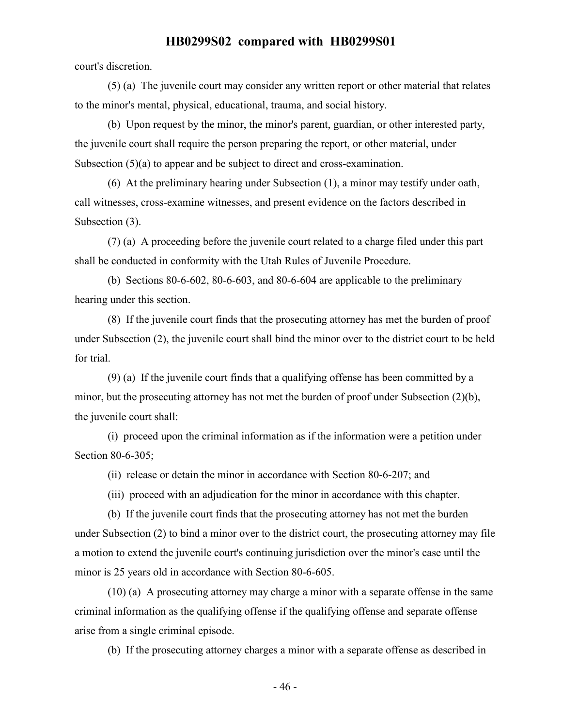court's discretion.

(5) (a) The juvenile court may consider any written report or other material that relates to the minor's mental, physical, educational, trauma, and social history.

(b) Upon request by the minor, the minor's parent, guardian, or other interested party, the juvenile court shall require the person preparing the report, or other material, under Subsection (5)(a) to appear and be subject to direct and cross-examination.

(6) At the preliminary hearing under Subsection (1), a minor may testify under oath, call witnesses, cross-examine witnesses, and present evidence on the factors described in Subsection (3).

(7) (a) A proceeding before the juvenile court related to a charge filed under this part shall be conducted in conformity with the Utah Rules of Juvenile Procedure.

(b) Sections 80-6-602, 80-6-603, and 80-6-604 are applicable to the preliminary hearing under this section.

(8) If the juvenile court finds that the prosecuting attorney has met the burden of proof under Subsection (2), the juvenile court shall bind the minor over to the district court to be held for trial.

(9) (a) If the juvenile court finds that a qualifying offense has been committed by a minor, but the prosecuting attorney has not met the burden of proof under Subsection (2)(b), the juvenile court shall:

(i) proceed upon the criminal information as if the information were a petition under Section 80-6-305;

(ii) release or detain the minor in accordance with Section 80-6-207; and

(iii) proceed with an adjudication for the minor in accordance with this chapter.

(b) If the juvenile court finds that the prosecuting attorney has not met the burden under Subsection (2) to bind a minor over to the district court, the prosecuting attorney may file a motion to extend the juvenile court's continuing jurisdiction over the minor's case until the minor is 25 years old in accordance with Section 80-6-605.

(10) (a) A prosecuting attorney may charge a minor with a separate offense in the same criminal information as the qualifying offense if the qualifying offense and separate offense arise from a single criminal episode.

(b) If the prosecuting attorney charges a minor with a separate offense as described in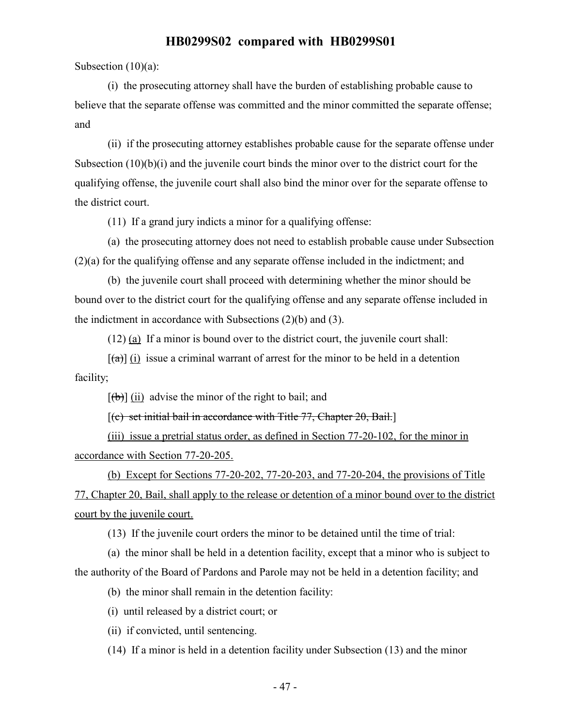Subsection (10)(a):

(i) the prosecuting attorney shall have the burden of establishing probable cause to believe that the separate offense was committed and the minor committed the separate offense; and

(ii) if the prosecuting attorney establishes probable cause for the separate offense under Subsection  $(10)(b)(i)$  and the juvenile court binds the minor over to the district court for the qualifying offense, the juvenile court shall also bind the minor over for the separate offense to the district court.

(11) If a grand jury indicts a minor for a qualifying offense:

(a) the prosecuting attorney does not need to establish probable cause under Subsection (2)(a) for the qualifying offense and any separate offense included in the indictment; and

(b) the juvenile court shall proceed with determining whether the minor should be bound over to the district court for the qualifying offense and any separate offense included in the indictment in accordance with Subsections (2)(b) and (3).

(12) (a) If a minor is bound over to the district court, the juvenile court shall:

 $[(a)]$  (i) issue a criminal warrant of arrest for the minor to be held in a detention facility;

 $[(b)]$  (ii) advise the minor of the right to bail; and

 $[(c)$  set initial bail in accordance with Title 77, Chapter 20, Bail.

(iii) issue a pretrial status order, as defined in Section 77-20-102, for the minor in accordance with Section 77-20-205.

(b) Except for Sections 77-20-202, 77-20-203, and 77-20-204, the provisions of Title 77, Chapter 20, Bail, shall apply to the release or detention of a minor bound over to the district court by the juvenile court.

(13) If the juvenile court orders the minor to be detained until the time of trial:

(a) the minor shall be held in a detention facility, except that a minor who is subject to the authority of the Board of Pardons and Parole may not be held in a detention facility; and

(b) the minor shall remain in the detention facility:

(i) until released by a district court; or

(ii) if convicted, until sentencing.

(14) If a minor is held in a detention facility under Subsection (13) and the minor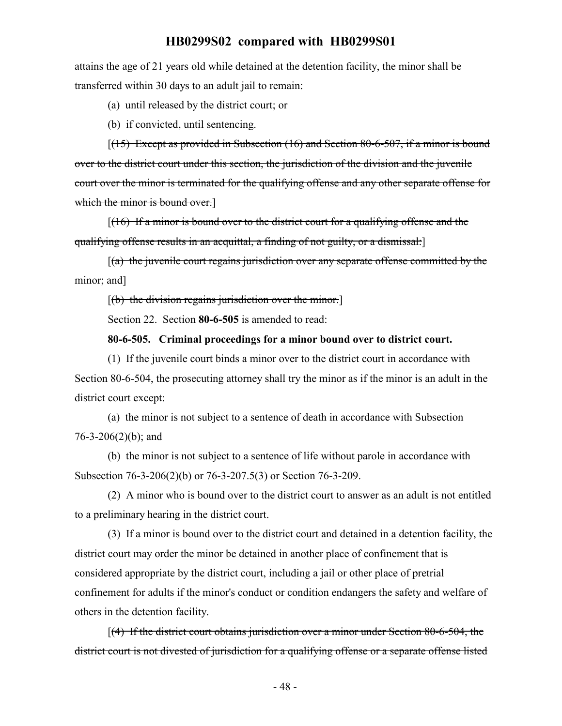attains the age of 21 years old while detained at the detention facility, the minor shall be transferred within 30 days to an adult jail to remain:

(a) until released by the district court; or

(b) if convicted, until sentencing.

 $[(15)$  Except as provided in Subsection  $(16)$  and Section 80-6-507, if a minor is bound over to the district court under this section, the jurisdiction of the division and the juvenile court over the minor is terminated for the qualifying offense and any other separate offense for which the minor is bound over.

 $[(16)$  If a minor is bound over to the district court for a qualifying offense and the qualifying offense results in an acquittal, a finding of not guilty, or a dismissal:]

 $[(a)$  the juvenile court regains jurisdiction over any separate offense committed by the minor; and]

 $[$ (b) the division regains jurisdiction over the minor. $]$ 

Section 22. Section **80-6-505** is amended to read:

#### **80-6-505. Criminal proceedings for a minor bound over to district court.**

(1) If the juvenile court binds a minor over to the district court in accordance with Section 80-6-504, the prosecuting attorney shall try the minor as if the minor is an adult in the district court except:

(a) the minor is not subject to a sentence of death in accordance with Subsection 76-3-206(2)(b); and

(b) the minor is not subject to a sentence of life without parole in accordance with Subsection 76-3-206(2)(b) or 76-3-207.5(3) or Section 76-3-209.

(2) A minor who is bound over to the district court to answer as an adult is not entitled to a preliminary hearing in the district court.

(3) If a minor is bound over to the district court and detained in a detention facility, the district court may order the minor be detained in another place of confinement that is considered appropriate by the district court, including a jail or other place of pretrial confinement for adults if the minor's conduct or condition endangers the safety and welfare of others in the detention facility.

[(4) If the district court obtains jurisdiction over a minor under Section 80-6-504, the district court is not divested of jurisdiction for a qualifying offense or a separate offense listed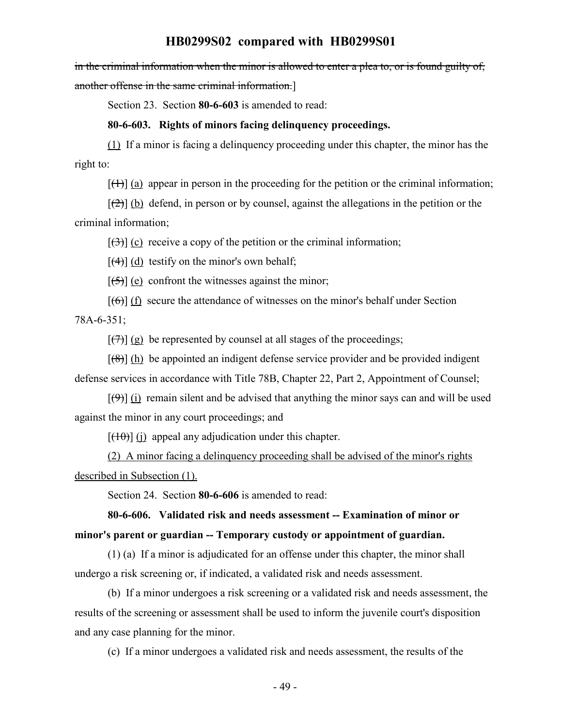in the criminal information when the minor is allowed to enter a plea to, or is found guilty of, another offense in the same criminal information.]

Section 23. Section **80-6-603** is amended to read:

#### **80-6-603. Rights of minors facing delinquency proceedings.**

(1) If a minor is facing a delinquency proceeding under this chapter, the minor has the right to:

 $[\uparrow\uparrow\rangle]$  (a) appear in person in the proceeding for the petition or the criminal information;

 $[\frac{1}{2}]$  (b) defend, in person or by counsel, against the allegations in the petition or the criminal information;

 $[(3)]$  (c) receive a copy of the petition or the criminal information;

 $[\frac{4}{4}]$  (d) testify on the minor's own behalf;

 $[\frac{1}{5}]$  (e) confront the witnesses against the minor;

 $[(6)]$  (f) secure the attendance of witnesses on the minor's behalf under Section

78A-6-351;

 $[\frac{1}{2}]$  (g) be represented by counsel at all stages of the proceedings;

 $[(8)]$  (h) be appointed an indigent defense service provider and be provided indigent defense services in accordance with Title 78B, Chapter 22, Part 2, Appointment of Counsel;

 $[(9)]$  (i) remain silent and be advised that anything the minor says can and will be used against the minor in any court proceedings; and

 $[(10)(i)]$  appeal any adjudication under this chapter.

(2) A minor facing a delinquency proceeding shall be advised of the minor's rights described in Subsection (1).

Section 24. Section **80-6-606** is amended to read:

# **80-6-606. Validated risk and needs assessment -- Examination of minor or minor's parent or guardian -- Temporary custody or appointment of guardian.**

(1) (a) If a minor is adjudicated for an offense under this chapter, the minor shall undergo a risk screening or, if indicated, a validated risk and needs assessment.

(b) If a minor undergoes a risk screening or a validated risk and needs assessment, the results of the screening or assessment shall be used to inform the juvenile court's disposition and any case planning for the minor.

(c) If a minor undergoes a validated risk and needs assessment, the results of the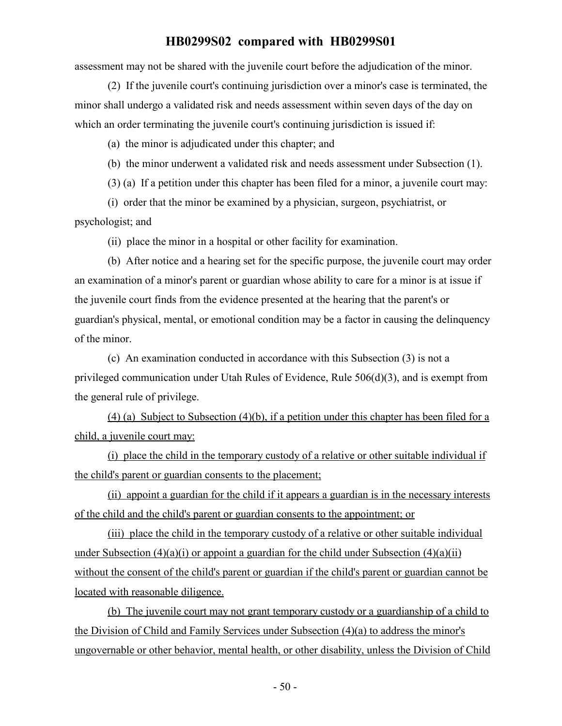assessment may not be shared with the juvenile court before the adjudication of the minor.

(2) If the juvenile court's continuing jurisdiction over a minor's case is terminated, the minor shall undergo a validated risk and needs assessment within seven days of the day on which an order terminating the juvenile court's continuing jurisdiction is issued if:

(a) the minor is adjudicated under this chapter; and

(b) the minor underwent a validated risk and needs assessment under Subsection (1).

(3) (a) If a petition under this chapter has been filed for a minor, a juvenile court may:

(i) order that the minor be examined by a physician, surgeon, psychiatrist, or psychologist; and

(ii) place the minor in a hospital or other facility for examination.

(b) After notice and a hearing set for the specific purpose, the juvenile court may order an examination of a minor's parent or guardian whose ability to care for a minor is at issue if the juvenile court finds from the evidence presented at the hearing that the parent's or guardian's physical, mental, or emotional condition may be a factor in causing the delinquency of the minor.

(c) An examination conducted in accordance with this Subsection (3) is not a privileged communication under Utah Rules of Evidence, Rule 506(d)(3), and is exempt from the general rule of privilege.

(4) (a) Subject to Subsection (4)(b), if a petition under this chapter has been filed for a child, a juvenile court may:

(i) place the child in the temporary custody of a relative or other suitable individual if the child's parent or guardian consents to the placement;

(ii) appoint a guardian for the child if it appears a guardian is in the necessary interests of the child and the child's parent or guardian consents to the appointment; or

(iii) place the child in the temporary custody of a relative or other suitable individual under Subsection  $(4)(a)(i)$  or appoint a guardian for the child under Subsection  $(4)(a)(ii)$ without the consent of the child's parent or guardian if the child's parent or guardian cannot be located with reasonable diligence.

(b) The juvenile court may not grant temporary custody or a guardianship of a child to the Division of Child and Family Services under Subsection (4)(a) to address the minor's ungovernable or other behavior, mental health, or other disability, unless the Division of Child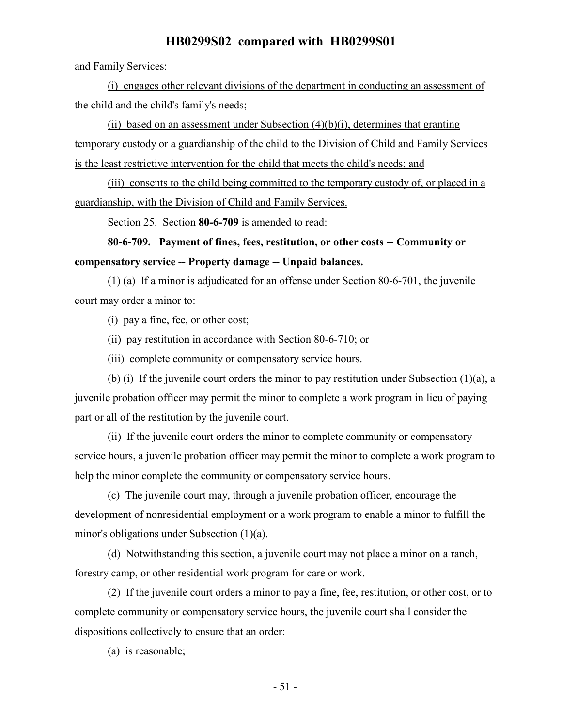and Family Services:

(i) engages other relevant divisions of the department in conducting an assessment of the child and the child's family's needs;

(ii) based on an assessment under Subsection  $(4)(b)(i)$ , determines that granting temporary custody or a guardianship of the child to the Division of Child and Family Services is the least restrictive intervention for the child that meets the child's needs; and

(iii) consents to the child being committed to the temporary custody of, or placed in a guardianship, with the Division of Child and Family Services.

Section 25. Section **80-6-709** is amended to read:

# **80-6-709. Payment of fines, fees, restitution, or other costs -- Community or compensatory service -- Property damage -- Unpaid balances.**

(1) (a) If a minor is adjudicated for an offense under Section 80-6-701, the juvenile court may order a minor to:

(i) pay a fine, fee, or other cost;

(ii) pay restitution in accordance with Section 80-6-710; or

(iii) complete community or compensatory service hours.

(b) (i) If the juvenile court orders the minor to pay restitution under Subsection (1)(a), a juvenile probation officer may permit the minor to complete a work program in lieu of paying part or all of the restitution by the juvenile court.

(ii) If the juvenile court orders the minor to complete community or compensatory service hours, a juvenile probation officer may permit the minor to complete a work program to help the minor complete the community or compensatory service hours.

(c) The juvenile court may, through a juvenile probation officer, encourage the development of nonresidential employment or a work program to enable a minor to fulfill the minor's obligations under Subsection (1)(a).

(d) Notwithstanding this section, a juvenile court may not place a minor on a ranch, forestry camp, or other residential work program for care or work.

(2) If the juvenile court orders a minor to pay a fine, fee, restitution, or other cost, or to complete community or compensatory service hours, the juvenile court shall consider the dispositions collectively to ensure that an order:

(a) is reasonable;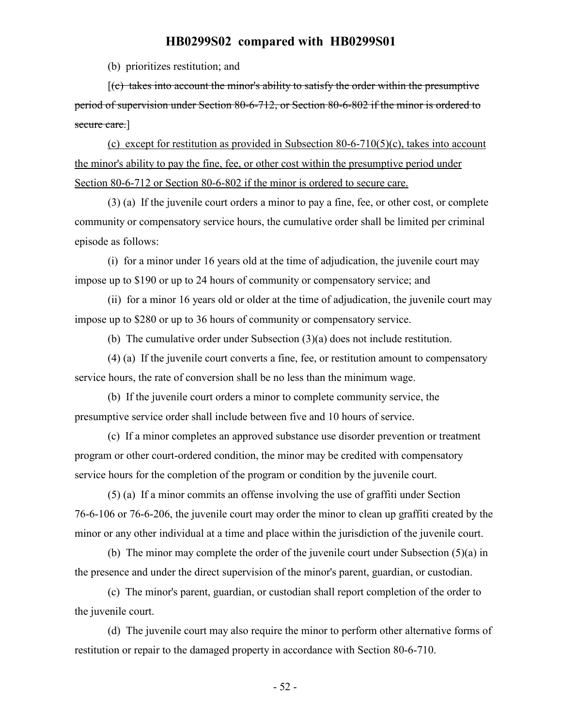(b) prioritizes restitution; and

 $[(c)$  takes into account the minor's ability to satisfy the order within the presumptive period of supervision under Section 80-6-712, or Section 80-6-802 if the minor is ordered to secure care.]

(c) except for restitution as provided in Subsection 80-6-710(5)(c), takes into account the minor's ability to pay the fine, fee, or other cost within the presumptive period under Section 80-6-712 or Section 80-6-802 if the minor is ordered to secure care.

(3) (a) If the juvenile court orders a minor to pay a fine, fee, or other cost, or complete community or compensatory service hours, the cumulative order shall be limited per criminal episode as follows:

(i) for a minor under 16 years old at the time of adjudication, the juvenile court may impose up to \$190 or up to 24 hours of community or compensatory service; and

(ii) for a minor 16 years old or older at the time of adjudication, the juvenile court may impose up to \$280 or up to 36 hours of community or compensatory service.

(b) The cumulative order under Subsection (3)(a) does not include restitution.

(4) (a) If the juvenile court converts a fine, fee, or restitution amount to compensatory service hours, the rate of conversion shall be no less than the minimum wage.

(b) If the juvenile court orders a minor to complete community service, the presumptive service order shall include between five and 10 hours of service.

(c) If a minor completes an approved substance use disorder prevention or treatment program or other court-ordered condition, the minor may be credited with compensatory service hours for the completion of the program or condition by the juvenile court.

(5) (a) If a minor commits an offense involving the use of graffiti under Section 76-6-106 or 76-6-206, the juvenile court may order the minor to clean up graffiti created by the minor or any other individual at a time and place within the jurisdiction of the juvenile court.

(b) The minor may complete the order of the juvenile court under Subsection (5)(a) in the presence and under the direct supervision of the minor's parent, guardian, or custodian.

(c) The minor's parent, guardian, or custodian shall report completion of the order to the juvenile court.

(d) The juvenile court may also require the minor to perform other alternative forms of restitution or repair to the damaged property in accordance with Section 80-6-710.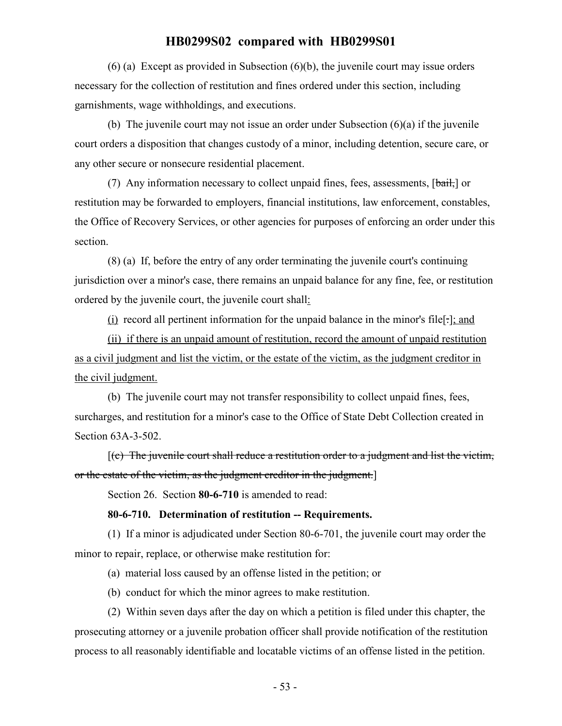(6) (a) Except as provided in Subsection (6)(b), the juvenile court may issue orders necessary for the collection of restitution and fines ordered under this section, including garnishments, wage withholdings, and executions.

(b) The juvenile court may not issue an order under Subsection (6)(a) if the juvenile court orders a disposition that changes custody of a minor, including detention, secure care, or any other secure or nonsecure residential placement.

(7) Any information necessary to collect unpaid fines, fees, assessments,  $[\frac{b \cdot \hat{a}}{b \cdot \hat{b}}]$  or restitution may be forwarded to employers, financial institutions, law enforcement, constables, the Office of Recovery Services, or other agencies for purposes of enforcing an order under this section.

(8) (a) If, before the entry of any order terminating the juvenile court's continuing jurisdiction over a minor's case, there remains an unpaid balance for any fine, fee, or restitution ordered by the juvenile court, the juvenile court shall:

(i) record all pertinent information for the unpaid balance in the minor's file[.]; and

(ii) if there is an unpaid amount of restitution, record the amount of unpaid restitution as a civil judgment and list the victim, or the estate of the victim, as the judgment creditor in the civil judgment.

(b) The juvenile court may not transfer responsibility to collect unpaid fines, fees, surcharges, and restitution for a minor's case to the Office of State Debt Collection created in Section 63A-3-502.

 $(c)$  The juvenile court shall reduce a restitution order to a judgment and list the victim, or the estate of the victim, as the judgment creditor in the judgment.]

Section 26. Section **80-6-710** is amended to read:

#### **80-6-710. Determination of restitution -- Requirements.**

(1) If a minor is adjudicated under Section 80-6-701, the juvenile court may order the minor to repair, replace, or otherwise make restitution for:

(a) material loss caused by an offense listed in the petition; or

(b) conduct for which the minor agrees to make restitution.

(2) Within seven days after the day on which a petition is filed under this chapter, the prosecuting attorney or a juvenile probation officer shall provide notification of the restitution process to all reasonably identifiable and locatable victims of an offense listed in the petition.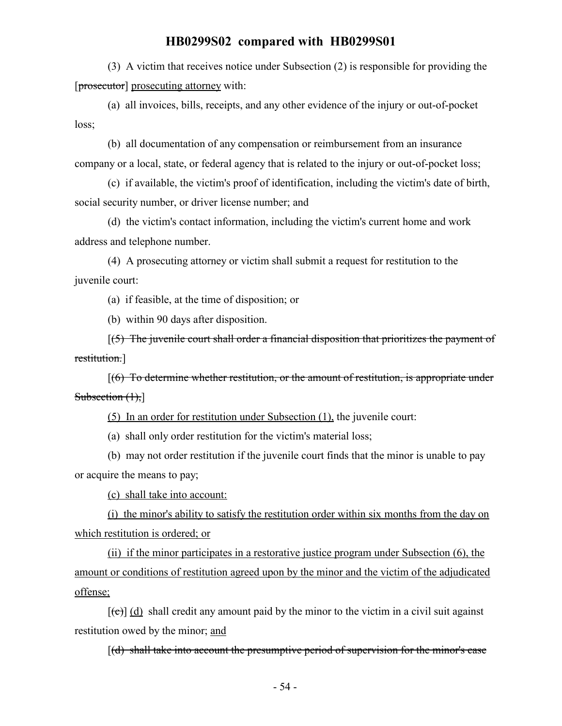(3) A victim that receives notice under Subsection (2) is responsible for providing the [prosecutor] prosecuting attorney with:

(a) all invoices, bills, receipts, and any other evidence of the injury or out-of-pocket loss;

(b) all documentation of any compensation or reimbursement from an insurance company or a local, state, or federal agency that is related to the injury or out-of-pocket loss;

(c) if available, the victim's proof of identification, including the victim's date of birth, social security number, or driver license number; and

(d) the victim's contact information, including the victim's current home and work address and telephone number.

(4) A prosecuting attorney or victim shall submit a request for restitution to the juvenile court:

(a) if feasible, at the time of disposition; or

(b) within 90 days after disposition.

[(5) The juvenile court shall order a financial disposition that prioritizes the payment of restitution.]

[(6) To determine whether restitution, or the amount of restitution, is appropriate under Subsection  $(1),$ ]

(5) In an order for restitution under Subsection (1), the juvenile court:

(a) shall only order restitution for the victim's material loss;

(b) may not order restitution if the juvenile court finds that the minor is unable to pay or acquire the means to pay;

(c) shall take into account:

(i) the minor's ability to satisfy the restitution order within six months from the day on which restitution is ordered; or

(ii) if the minor participates in a restorative justice program under Subsection (6), the amount or conditions of restitution agreed upon by the minor and the victim of the adjudicated offense;

 $[\text{f}\Theta]$  (d) shall credit any amount paid by the minor to the victim in a civil suit against restitution owed by the minor; and

 $[(d)$  shall take into account the presumptive period of supervision for the minor's case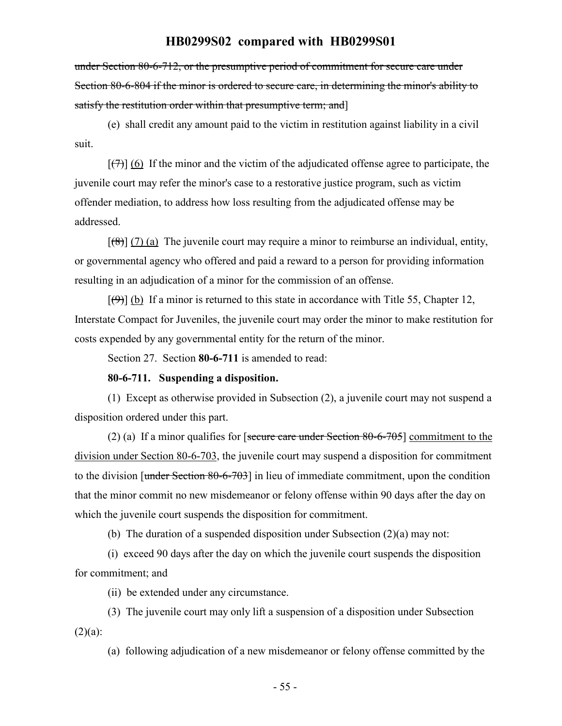under Section 80-6-712, or the presumptive period of commitment for secure care under Section 80-6-804 if the minor is ordered to secure care, in determining the minor's ability to satisfy the restitution order within that presumptive term; and]

(e) shall credit any amount paid to the victim in restitution against liability in a civil suit.

 $[\overline{(7)}]$  (6) If the minor and the victim of the adjudicated offense agree to participate, the juvenile court may refer the minor's case to a restorative justice program, such as victim offender mediation, to address how loss resulting from the adjudicated offense may be addressed.

 $[(8)] (7) (a)$  The juvenile court may require a minor to reimburse an individual, entity, or governmental agency who offered and paid a reward to a person for providing information resulting in an adjudication of a minor for the commission of an offense.

 $[\Theta]$  (b) If a minor is returned to this state in accordance with Title 55, Chapter 12, Interstate Compact for Juveniles, the juvenile court may order the minor to make restitution for costs expended by any governmental entity for the return of the minor.

Section 27. Section **80-6-711** is amended to read:

#### **80-6-711. Suspending a disposition.**

(1) Except as otherwise provided in Subsection (2), a juvenile court may not suspend a disposition ordered under this part.

(2) (a) If a minor qualifies for [secure care under Section  $80-6-705$ ] commitment to the division under Section 80-6-703, the juvenile court may suspend a disposition for commitment to the division [under Section 80-6-703] in lieu of immediate commitment, upon the condition that the minor commit no new misdemeanor or felony offense within 90 days after the day on which the juvenile court suspends the disposition for commitment.

(b) The duration of a suspended disposition under Subsection (2)(a) may not:

(i) exceed 90 days after the day on which the juvenile court suspends the disposition for commitment; and

(ii) be extended under any circumstance.

(3) The juvenile court may only lift a suspension of a disposition under Subsection  $(2)(a)$ :

(a) following adjudication of a new misdemeanor or felony offense committed by the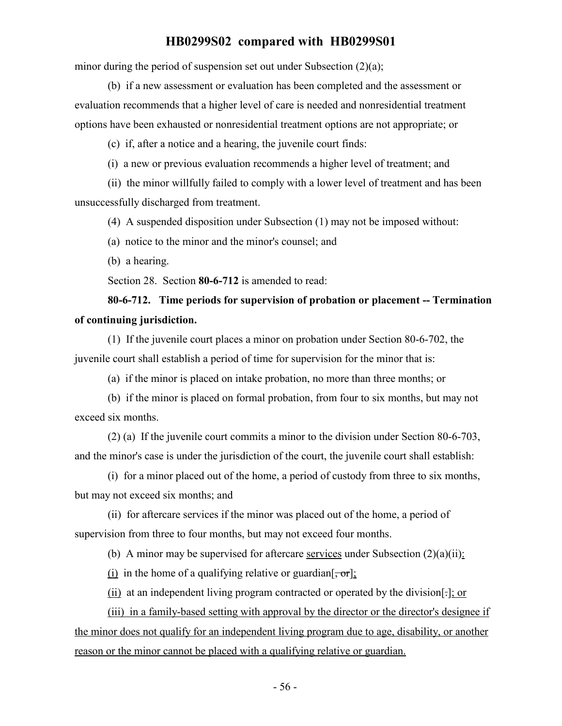minor during the period of suspension set out under Subsection (2)(a);

(b) if a new assessment or evaluation has been completed and the assessment or evaluation recommends that a higher level of care is needed and nonresidential treatment options have been exhausted or nonresidential treatment options are not appropriate; or

(c) if, after a notice and a hearing, the juvenile court finds:

(i) a new or previous evaluation recommends a higher level of treatment; and

(ii) the minor willfully failed to comply with a lower level of treatment and has been unsuccessfully discharged from treatment.

(4) A suspended disposition under Subsection (1) may not be imposed without:

(a) notice to the minor and the minor's counsel; and

(b) a hearing.

Section 28. Section **80-6-712** is amended to read:

# **80-6-712. Time periods for supervision of probation or placement -- Termination of continuing jurisdiction.**

(1) If the juvenile court places a minor on probation under Section 80-6-702, the juvenile court shall establish a period of time for supervision for the minor that is:

(a) if the minor is placed on intake probation, no more than three months; or

(b) if the minor is placed on formal probation, from four to six months, but may not exceed six months.

(2) (a) If the juvenile court commits a minor to the division under Section 80-6-703, and the minor's case is under the jurisdiction of the court, the juvenile court shall establish:

(i) for a minor placed out of the home, a period of custody from three to six months, but may not exceed six months; and

(ii) for aftercare services if the minor was placed out of the home, a period of supervision from three to four months, but may not exceed four months.

(b) A minor may be supervised for aftercare services under Subsection  $(2)(a)(ii)$ :

(i) in the home of a qualifying relative or guardian  $\left[$ ,  $\sigma$ r $\right]$ ;

(ii) at an independent living program contracted or operated by the division[.]; or

(iii) in a family-based setting with approval by the director or the director's designee if the minor does not qualify for an independent living program due to age, disability, or another reason or the minor cannot be placed with a qualifying relative or guardian.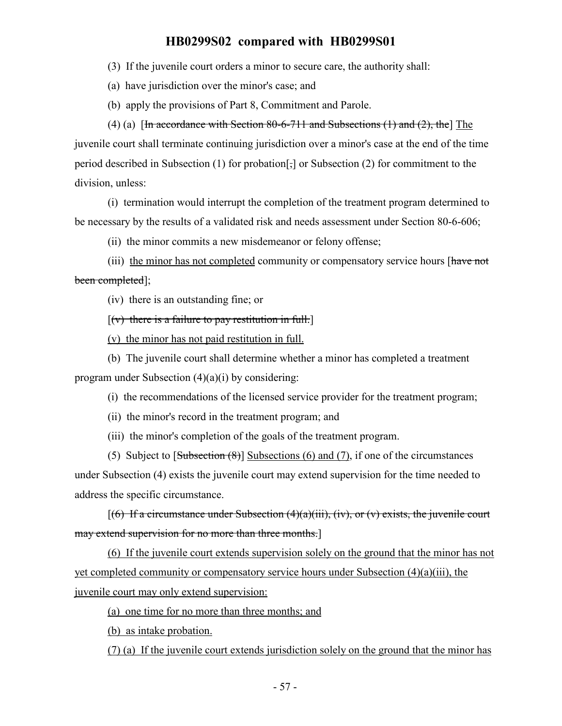(3) If the juvenile court orders a minor to secure care, the authority shall:

(a) have jurisdiction over the minor's case; and

(b) apply the provisions of Part 8, Commitment and Parole.

(4) (a)  $\left[\frac{\text{Im}}{\text{Im}}\right]$  [In accordance with Section 80-6-711 and Subsections (1) and (2), the  $\left[\text{Im}\right]$ juvenile court shall terminate continuing jurisdiction over a minor's case at the end of the time period described in Subsection (1) for probation[,] or Subsection (2) for commitment to the division, unless:

(i) termination would interrupt the completion of the treatment program determined to be necessary by the results of a validated risk and needs assessment under Section 80-6-606;

(ii) the minor commits a new misdemeanor or felony offense;

(iii) the minor has not completed community or compensatory service hours [have not been completed];

(iv) there is an outstanding fine; or

 $[(v)$  there is a failure to pay restitution in full.

(v) the minor has not paid restitution in full.

(b) The juvenile court shall determine whether a minor has completed a treatment

program under Subsection (4)(a)(i) by considering:

(i) the recommendations of the licensed service provider for the treatment program;

(ii) the minor's record in the treatment program; and

(iii) the minor's completion of the goals of the treatment program.

(5) Subject to  $\lceil \frac{\text{Subsection}(\mathcal{B})}{\text{Subsection}} \rceil$  Subsections (6) and (7), if one of the circumstances under Subsection (4) exists the juvenile court may extend supervision for the time needed to address the specific circumstance.

 $[(6)$  If a circumstance under Subsection  $(4)(a)(iii)$ , (iv), or (v) exists, the juvenile court may extend supervision for no more than three months.]

(6) If the juvenile court extends supervision solely on the ground that the minor has not yet completed community or compensatory service hours under Subsection (4)(a)(iii), the juvenile court may only extend supervision:

(a) one time for no more than three months; and

(b) as intake probation.

(7) (a) If the juvenile court extends jurisdiction solely on the ground that the minor has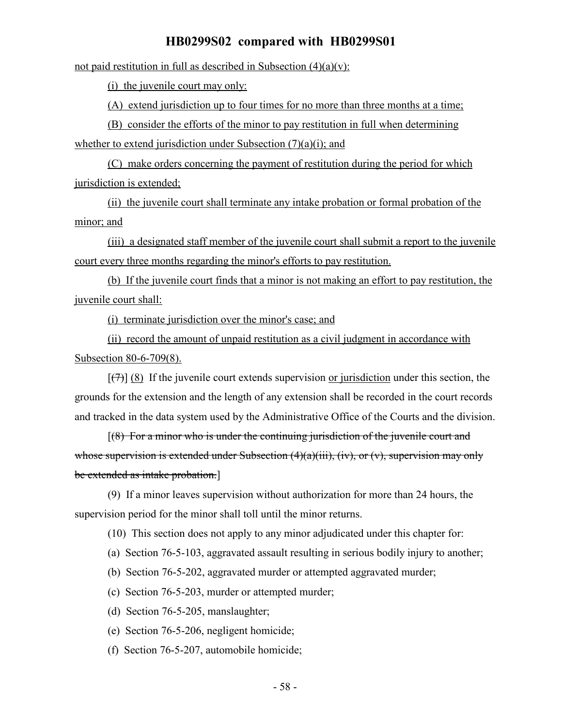not paid restitution in full as described in Subsection  $(4)(a)(v)$ :

(i) the juvenile court may only:

(A) extend jurisdiction up to four times for no more than three months at a time;

(B) consider the efforts of the minor to pay restitution in full when determining whether to extend jurisdiction under Subsection  $(7)(a)(i)$ ; and

(C) make orders concerning the payment of restitution during the period for which jurisdiction is extended;

(ii) the juvenile court shall terminate any intake probation or formal probation of the minor; and

(iii) a designated staff member of the juvenile court shall submit a report to the juvenile court every three months regarding the minor's efforts to pay restitution.

(b) If the juvenile court finds that a minor is not making an effort to pay restitution, the juvenile court shall:

(i) terminate jurisdiction over the minor's case; and

(ii) record the amount of unpaid restitution as a civil judgment in accordance with Subsection 80-6-709(8).

 $[\overline{(+)}]$  (8) If the juvenile court extends supervision or jurisdiction under this section, the grounds for the extension and the length of any extension shall be recorded in the court records and tracked in the data system used by the Administrative Office of the Courts and the division.

 $[(8)$  For a minor who is under the continuing jurisdiction of the juvenile court and whose supervision is extended under Subsection  $(4)(a)(iii)$ ,  $(iv)$ , or  $(v)$ , supervision may only be extended as intake probation.]

(9) If a minor leaves supervision without authorization for more than 24 hours, the supervision period for the minor shall toll until the minor returns.

(10) This section does not apply to any minor adjudicated under this chapter for:

(a) Section 76-5-103, aggravated assault resulting in serious bodily injury to another;

(b) Section 76-5-202, aggravated murder or attempted aggravated murder;

(c) Section 76-5-203, murder or attempted murder;

(d) Section 76-5-205, manslaughter;

(e) Section 76-5-206, negligent homicide;

(f) Section 76-5-207, automobile homicide;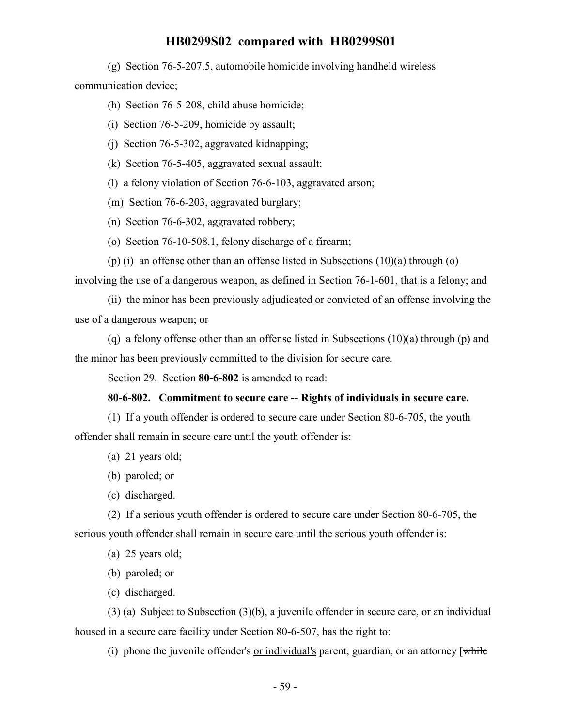(g) Section 76-5-207.5, automobile homicide involving handheld wireless communication device;

(h) Section 76-5-208, child abuse homicide;

(i) Section 76-5-209, homicide by assault;

(j) Section 76-5-302, aggravated kidnapping;

(k) Section 76-5-405, aggravated sexual assault;

(l) a felony violation of Section 76-6-103, aggravated arson;

(m) Section 76-6-203, aggravated burglary;

(n) Section 76-6-302, aggravated robbery;

(o) Section 76-10-508.1, felony discharge of a firearm;

(p) (i) an offense other than an offense listed in Subsections  $(10)(a)$  through (o)

involving the use of a dangerous weapon, as defined in Section 76-1-601, that is a felony; and

(ii) the minor has been previously adjudicated or convicted of an offense involving the use of a dangerous weapon; or

(q) a felony offense other than an offense listed in Subsections  $(10)(a)$  through (p) and the minor has been previously committed to the division for secure care.

Section 29. Section **80-6-802** is amended to read:

#### **80-6-802. Commitment to secure care -- Rights of individuals in secure care.**

(1) If a youth offender is ordered to secure care under Section 80-6-705, the youth offender shall remain in secure care until the youth offender is:

(a) 21 years old;

(b) paroled; or

(c) discharged.

(2) If a serious youth offender is ordered to secure care under Section 80-6-705, the serious youth offender shall remain in secure care until the serious youth offender is:

(a) 25 years old;

(b) paroled; or

(c) discharged.

(3) (a) Subject to Subsection (3)(b), a juvenile offender in secure care, or an individual housed in a secure care facility under Section 80-6-507, has the right to:

(i) phone the juvenile offender's or individual's parent, guardian, or an attorney  $\lceil \frac{white}{} \rceil$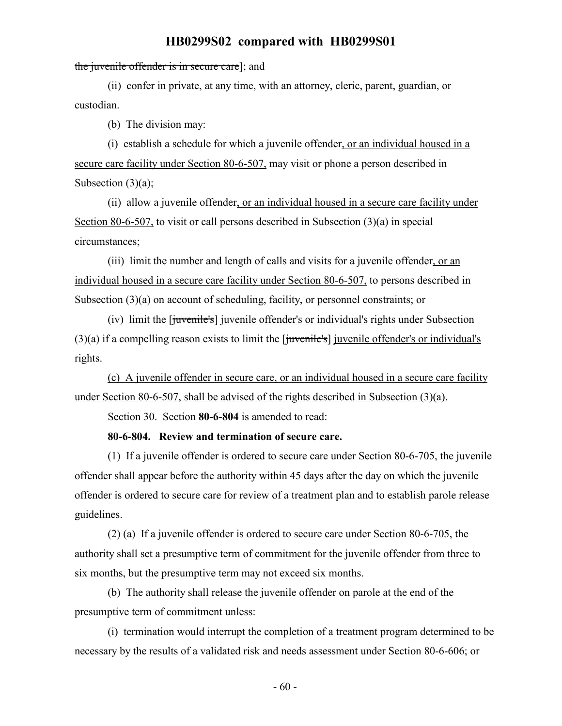#### the juvenile offender is in secure care]; and

(ii) confer in private, at any time, with an attorney, cleric, parent, guardian, or custodian.

(b) The division may:

(i) establish a schedule for which a juvenile offender, or an individual housed in a secure care facility under Section 80-6-507, may visit or phone a person described in Subsection  $(3)(a)$ ;

(ii) allow a juvenile offender, or an individual housed in a secure care facility under Section 80-6-507, to visit or call persons described in Subsection (3)(a) in special circumstances;

(iii) limit the number and length of calls and visits for a juvenile offender, or an individual housed in a secure care facility under Section 80-6-507, to persons described in Subsection (3)(a) on account of scheduling, facility, or personnel constraints; or

(iv) limit the [juvenile's] juvenile offender's or individual's rights under Subsection  $(3)(a)$  if a compelling reason exists to limit the [ $i$ uvenile's] juvenile offender's or individual's rights.

(c) A juvenile offender in secure care, or an individual housed in a secure care facility under Section 80-6-507, shall be advised of the rights described in Subsection (3)(a).

Section 30. Section **80-6-804** is amended to read:

**80-6-804. Review and termination of secure care.**

(1) If a juvenile offender is ordered to secure care under Section 80-6-705, the juvenile offender shall appear before the authority within 45 days after the day on which the juvenile offender is ordered to secure care for review of a treatment plan and to establish parole release guidelines.

(2) (a) If a juvenile offender is ordered to secure care under Section 80-6-705, the authority shall set a presumptive term of commitment for the juvenile offender from three to six months, but the presumptive term may not exceed six months.

(b) The authority shall release the juvenile offender on parole at the end of the presumptive term of commitment unless:

(i) termination would interrupt the completion of a treatment program determined to be necessary by the results of a validated risk and needs assessment under Section 80-6-606; or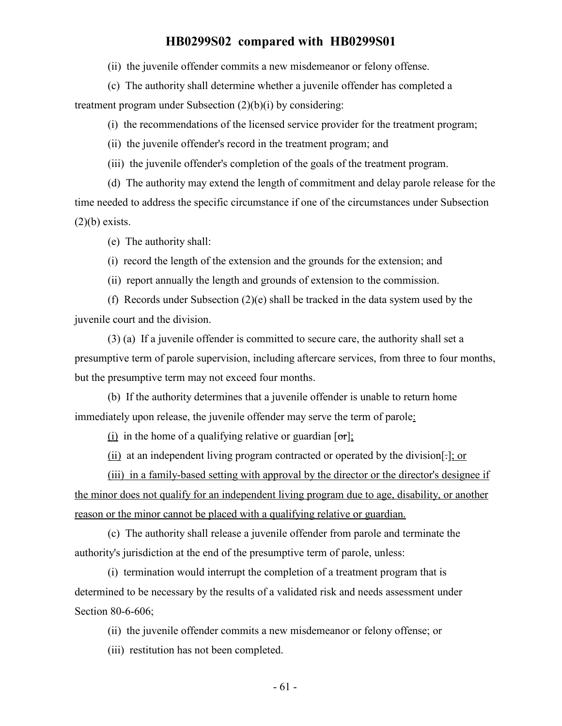(ii) the juvenile offender commits a new misdemeanor or felony offense.

(c) The authority shall determine whether a juvenile offender has completed a

treatment program under Subsection (2)(b)(i) by considering:

(i) the recommendations of the licensed service provider for the treatment program;

(ii) the juvenile offender's record in the treatment program; and

(iii) the juvenile offender's completion of the goals of the treatment program.

(d) The authority may extend the length of commitment and delay parole release for the time needed to address the specific circumstance if one of the circumstances under Subsection  $(2)(b)$  exists.

(e) The authority shall:

(i) record the length of the extension and the grounds for the extension; and

(ii) report annually the length and grounds of extension to the commission.

(f) Records under Subsection  $(2)(e)$  shall be tracked in the data system used by the juvenile court and the division.

(3) (a) If a juvenile offender is committed to secure care, the authority shall set a presumptive term of parole supervision, including aftercare services, from three to four months, but the presumptive term may not exceed four months.

(b) If the authority determines that a juvenile offender is unable to return home immediately upon release, the juvenile offender may serve the term of parole:

(i) in the home of a qualifying relative or guardian  $[\sigma r]$ ;

(ii) at an independent living program contracted or operated by the division[.]; or

(iii) in a family-based setting with approval by the director or the director's designee if the minor does not qualify for an independent living program due to age, disability, or another reason or the minor cannot be placed with a qualifying relative or guardian.

(c) The authority shall release a juvenile offender from parole and terminate the authority's jurisdiction at the end of the presumptive term of parole, unless:

(i) termination would interrupt the completion of a treatment program that is determined to be necessary by the results of a validated risk and needs assessment under Section 80-6-606;

(ii) the juvenile offender commits a new misdemeanor or felony offense; or

(iii) restitution has not been completed.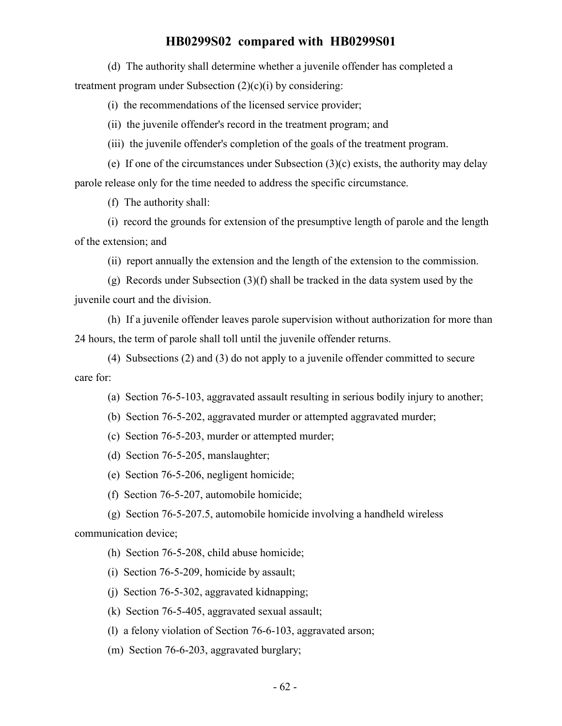(d) The authority shall determine whether a juvenile offender has completed a treatment program under Subsection  $(2)(c)(i)$  by considering:

(i) the recommendations of the licensed service provider;

(ii) the juvenile offender's record in the treatment program; and

(iii) the juvenile offender's completion of the goals of the treatment program.

(e) If one of the circumstances under Subsection (3)(c) exists, the authority may delay parole release only for the time needed to address the specific circumstance.

(f) The authority shall:

(i) record the grounds for extension of the presumptive length of parole and the length of the extension; and

(ii) report annually the extension and the length of the extension to the commission.

(g) Records under Subsection  $(3)(f)$  shall be tracked in the data system used by the juvenile court and the division.

(h) If a juvenile offender leaves parole supervision without authorization for more than 24 hours, the term of parole shall toll until the juvenile offender returns.

(4) Subsections (2) and (3) do not apply to a juvenile offender committed to secure care for:

(a) Section 76-5-103, aggravated assault resulting in serious bodily injury to another;

(b) Section 76-5-202, aggravated murder or attempted aggravated murder;

(c) Section 76-5-203, murder or attempted murder;

(d) Section 76-5-205, manslaughter;

(e) Section 76-5-206, negligent homicide;

(f) Section 76-5-207, automobile homicide;

(g) Section 76-5-207.5, automobile homicide involving a handheld wireless communication device;

(h) Section 76-5-208, child abuse homicide;

(i) Section 76-5-209, homicide by assault;

(j) Section 76-5-302, aggravated kidnapping;

(k) Section 76-5-405, aggravated sexual assault;

(l) a felony violation of Section 76-6-103, aggravated arson;

(m) Section 76-6-203, aggravated burglary;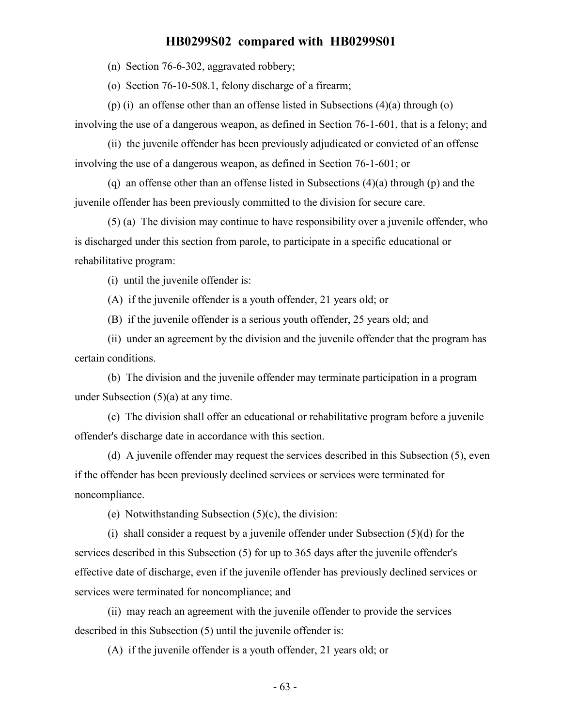(n) Section 76-6-302, aggravated robbery;

(o) Section 76-10-508.1, felony discharge of a firearm;

(p) (i) an offense other than an offense listed in Subsections  $(4)(a)$  through  $(o)$ involving the use of a dangerous weapon, as defined in Section 76-1-601, that is a felony; and

(ii) the juvenile offender has been previously adjudicated or convicted of an offense involving the use of a dangerous weapon, as defined in Section 76-1-601; or

(q) an offense other than an offense listed in Subsections (4)(a) through (p) and the juvenile offender has been previously committed to the division for secure care.

(5) (a) The division may continue to have responsibility over a juvenile offender, who is discharged under this section from parole, to participate in a specific educational or rehabilitative program:

(i) until the juvenile offender is:

(A) if the juvenile offender is a youth offender, 21 years old; or

(B) if the juvenile offender is a serious youth offender, 25 years old; and

(ii) under an agreement by the division and the juvenile offender that the program has certain conditions.

(b) The division and the juvenile offender may terminate participation in a program under Subsection (5)(a) at any time.

(c) The division shall offer an educational or rehabilitative program before a juvenile offender's discharge date in accordance with this section.

(d) A juvenile offender may request the services described in this Subsection (5), even if the offender has been previously declined services or services were terminated for noncompliance.

(e) Notwithstanding Subsection (5)(c), the division:

(i) shall consider a request by a juvenile offender under Subsection (5)(d) for the services described in this Subsection (5) for up to 365 days after the juvenile offender's effective date of discharge, even if the juvenile offender has previously declined services or services were terminated for noncompliance; and

(ii) may reach an agreement with the juvenile offender to provide the services described in this Subsection (5) until the juvenile offender is:

(A) if the juvenile offender is a youth offender, 21 years old; or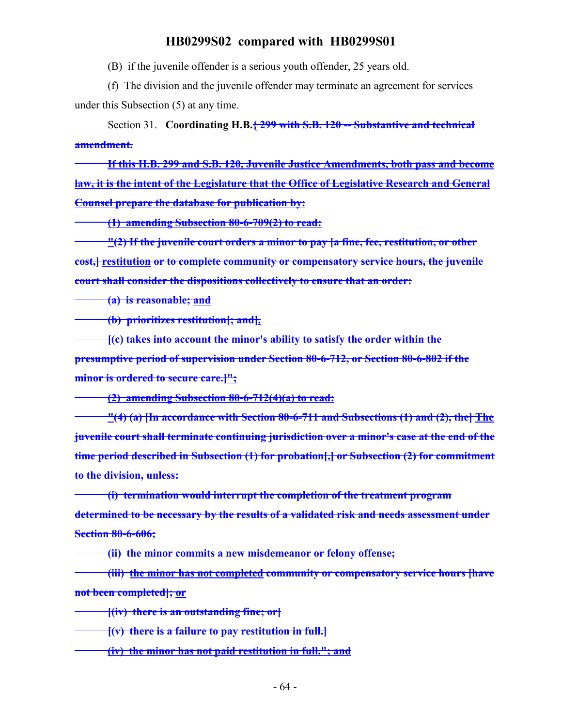(B) if the juvenile offender is a serious youth offender, 25 years old.

(f) The division and the juvenile offender may terminate an agreement for services under this Subsection (5) at any time.

Section 31. **Coordinating H.B.{ 299 with S.B. 120 -- Substantive and technical amendment.**

**If this H.B. 299 and S.B. 120, Juvenile Justice Amendments, both pass and become law, it is the intent of the Legislature that the Office of Legislative Research and General Counsel prepare the database for publication by:**

**(1) amending Subsection 80-6-709(2) to read:**

**"(2) If the juvenile court orders a minor to pay [a fine, fee, restitution, or other cost,] restitution or to complete community or compensatory service hours, the juvenile court shall consider the dispositions collectively to ensure that an order:**

**(a) is reasonable; and**

**(b) prioritizes restitution[; and].**

**[(c) takes into account the minor's ability to satisfy the order within the presumptive period of supervision under Section 80-6-712, or Section 80-6-802 if the minor is ordered to secure care.]";**

**(2) amending Subsection 80-6-712(4)(a) to read:**

**"(4) (a) [In accordance with Section 80-6-711 and Subsections (1) and (2), the] The juvenile court shall terminate continuing jurisdiction over a minor's case at the end of the time period described in Subsection (1) for probation[,] or Subsection (2) for commitment to the division, unless:**

**(i) termination would interrupt the completion of the treatment program determined to be necessary by the results of a validated risk and needs assessment under Section 80-6-606;**

**(ii) the minor commits a new misdemeanor or felony offense;**

**(iii) the minor has not completed community or compensatory service hours [have not been completed]; or**

**[(iv) there is an outstanding fine; or]**

**[(v) there is a failure to pay restitution in full.]**

**(iv) the minor has not paid restitution in full."; and**